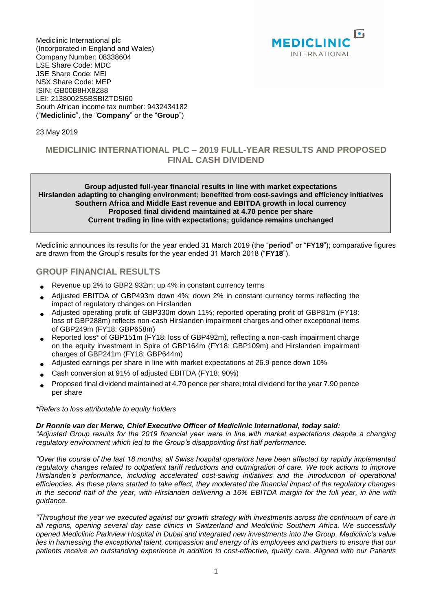

Mediclinic International plc (Incorporated in England and Wales) Company Number: 08338604 LSE Share Code: MDC JSE Share Code: MEI NSX Share Code: MEP ISIN: GB00B8HX8Z88 LEI: 2138002S5BSBIZTD5I60 South African income tax number: 9432434182 ("**Mediclinic**", the "**Company**" or the "**Group**")

### 23 May 2019

## **MEDICLINIC INTERNATIONAL PLC – 2019 FULL-YEAR RESULTS AND PROPOSED FINAL CASH DIVIDEND**

### **Group adjusted full-year financial results in line with market expectations Hirslanden adapting to changing environment; benefited from cost-savings and efficiency initiatives Southern Africa and Middle East revenue and EBITDA growth in local currency Proposed final dividend maintained at 4.70 pence per share Current trading in line with expectations; guidance remains unchanged**

Mediclinic announces its results for the year ended 31 March 2019 (the "**period**" or "**FY19**"); comparative figures are drawn from the Group's results for the year ended 31 March 2018 ("**FY18**").

## **GROUP FINANCIAL RESULTS**

- Revenue up 2% to GBP2 932m; up 4% in constant currency terms
- Adjusted EBITDA of GBP493m down 4%; down 2% in constant currency terms reflecting the impact of regulatory changes on Hirslanden
- Adjusted operating profit of GBP330m down 11%; reported operating profit of GBP81m (FY18: loss of GBP288m) reflects non-cash Hirslanden impairment charges and other exceptional items of GBP249m (FY18: GBP658m)
- Reported loss\* of GBP151m (FY18: loss of GBP492m), reflecting a non-cash impairment charge on the equity investment in Spire of GBP164m (FY18: GBP109m) and Hirslanden impairment charges of GBP241m (FY18: GBP644m)
- Adjusted earnings per share in line with market expectations at 26.9 pence down 10%
- Cash conversion at 91% of adjusted EBITDA (FY18: 90%)
- Proposed final dividend maintained at 4.70 pence per share; total dividend for the year 7.90 pence per share

#### *\*Refers to loss attributable to equity holders*

#### *Dr Ronnie van der Merwe, Chief Executive Officer of Mediclinic International, today said:*

*"Adjusted Group results for the 2019 financial year were in line with market expectations despite a changing regulatory environment which led to the Group's disappointing first half performance.* 

*"Over the course of the last 18 months, all Swiss hospital operators have been affected by rapidly implemented regulatory changes related to outpatient tariff reductions and outmigration of care. We took actions to improve Hirslanden's performance, including accelerated cost-saving initiatives and the introduction of operational efficiencies. As these plans started to take effect, they moderated the financial impact of the regulatory changes in the second half of the year, with Hirslanden delivering a 16% EBITDA margin for the full year, in line with guidance.*

*"Throughout the year we executed against our growth strategy with investments across the continuum of care in all regions, opening several day case clinics in Switzerland and Mediclinic Southern Africa. We successfully opened Mediclinic Parkview Hospital in Dubai and integrated new investments into the Group. Mediclinic's value lies in harnessing the exceptional talent, compassion and energy of its employees and partners to ensure that our patients receive an outstanding experience in addition to cost-effective, quality care. Aligned with our Patients*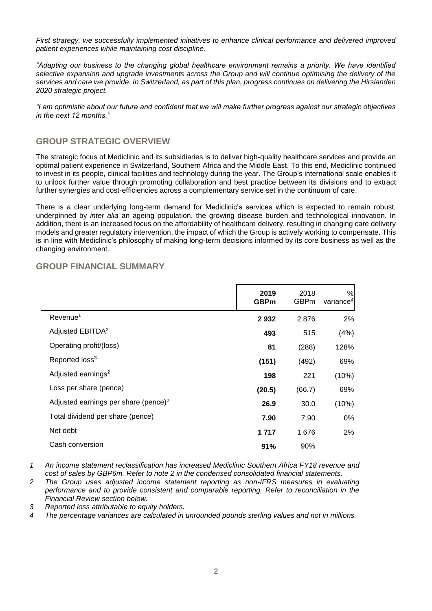*First strategy, we successfully implemented initiatives to enhance clinical performance and delivered improved patient experiences while maintaining cost discipline.*

*"Adapting our business to the changing global healthcare environment remains a priority. We have identified selective expansion and upgrade investments across the Group and will continue optimising the delivery of the services and care we provide. In Switzerland, as part of this plan, progress continues on delivering the Hirslanden 2020 strategic project.* 

*"I am optimistic about our future and confident that we will make further progress against our strategic objectives in the next 12 months."*

## **GROUP STRATEGIC OVERVIEW**

The strategic focus of Mediclinic and its subsidiaries is to deliver high-quality healthcare services and provide an optimal patient experience in Switzerland, Southern Africa and the Middle East. To this end, Mediclinic continued to invest in its people, clinical facilities and technology during the year. The Group's international scale enables it to unlock further value through promoting collaboration and best practice between its divisions and to extract further synergies and cost-efficiencies across a complementary service set in the continuum of care.

There is a clear underlying long-term demand for Mediclinic's services which is expected to remain robust, underpinned by *inter alia* an ageing population, the growing disease burden and technological innovation. In addition, there is an increased focus on the affordability of healthcare delivery, resulting in changing care delivery models and greater regulatory intervention, the impact of which the Group is actively working to compensate. This is in line with Mediclinic's philosophy of making long-term decisions informed by its core business as well as the changing environment.

|                                                  | 2019<br><b>GBPm</b> | 2018<br><b>GBPm</b> | %<br>variance <sup>4</sup> |
|--------------------------------------------------|---------------------|---------------------|----------------------------|
| Revenue <sup>1</sup>                             | 2932                | 2876                | 2%                         |
| Adjusted EBITDA <sup>2</sup>                     | 493                 | 515                 | (4%)                       |
| Operating profit/(loss)                          | 81                  | (288)               | 128%                       |
| Reported loss <sup>3</sup>                       | (151)               | (492)               | 69%                        |
| Adjusted earnings <sup>2</sup>                   | 198                 | 221                 | (10%)                      |
| Loss per share (pence)                           | (20.5)              | (66.7)              | 69%                        |
| Adjusted earnings per share (pence) <sup>2</sup> | 26.9                | 30.0                | (10%)                      |
| Total dividend per share (pence)                 | 7.90                | 7.90                | 0%                         |
| Net debt                                         | 1 7 1 7             | 1676                | 2%                         |
| Cash conversion                                  | 91%                 | 90%                 |                            |
|                                                  |                     |                     |                            |

### **GROUP FINANCIAL SUMMARY**

*1 An income statement reclassification has increased Mediclinic Southern Africa FY18 revenue and cost of sales by GBP6m. Refer to note 2 in the condensed consolidated financial statements.*

*2 The Group uses adjusted income statement reporting as non-IFRS measures in evaluating performance and to provide consistent and comparable reporting. Refer to reconciliation in the Financial Review section below.*

*3 Reported loss attributable to equity holders.*

*4 The percentage variances are calculated in unrounded pounds sterling values and not in millions.*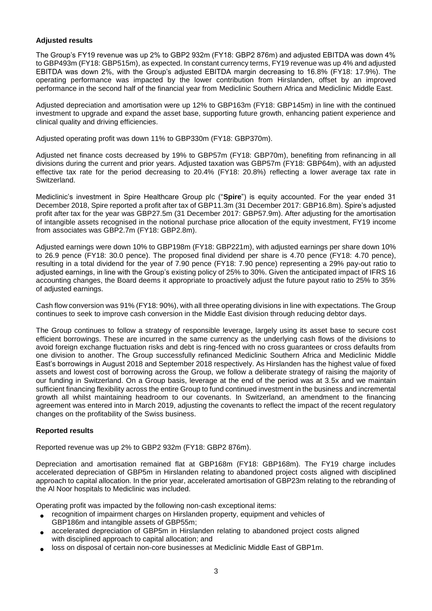### **Adjusted results**

The Group's FY19 revenue was up 2% to GBP2 932m (FY18: GBP2 876m) and adjusted EBITDA was down 4% to GBP493m (FY18: GBP515m), as expected. In constant currency terms, FY19 revenue was up 4% and adjusted EBITDA was down 2%, with the Group's adjusted EBITDA margin decreasing to 16.8% (FY18: 17.9%). The operating performance was impacted by the lower contribution from Hirslanden, offset by an improved performance in the second half of the financial year from Mediclinic Southern Africa and Mediclinic Middle East.

Adjusted depreciation and amortisation were up 12% to GBP163m (FY18: GBP145m) in line with the continued investment to upgrade and expand the asset base, supporting future growth, enhancing patient experience and clinical quality and driving efficiencies.

Adjusted operating profit was down 11% to GBP330m (FY18: GBP370m).

Adjusted net finance costs decreased by 19% to GBP57m (FY18: GBP70m), benefiting from refinancing in all divisions during the current and prior years. Adjusted taxation was GBP57m (FY18: GBP64m), with an adjusted effective tax rate for the period decreasing to 20.4% (FY18: 20.8%) reflecting a lower average tax rate in Switzerland.

Mediclinic's investment in Spire Healthcare Group plc ("**Spire**") is equity accounted. For the year ended 31 December 2018, Spire reported a profit after tax of GBP11.3m (31 December 2017: GBP16.8m). Spire's adjusted profit after tax for the year was GBP27.5m (31 December 2017: GBP57.9m). After adjusting for the amortisation of intangible assets recognised in the notional purchase price allocation of the equity investment, FY19 income from associates was GBP2.7m (FY18: GBP2.8m).

Adjusted earnings were down 10% to GBP198m (FY18: GBP221m), with adjusted earnings per share down 10% to 26.9 pence (FY18: 30.0 pence). The proposed final dividend per share is 4.70 pence (FY18: 4.70 pence), resulting in a total dividend for the year of 7.90 pence (FY18: 7.90 pence) representing a 29% pay-out ratio to adjusted earnings, in line with the Group's existing policy of 25% to 30%. Given the anticipated impact of IFRS 16 accounting changes, the Board deems it appropriate to proactively adjust the future payout ratio to 25% to 35% of adjusted earnings.

Cash flow conversion was 91% (FY18: 90%), with all three operating divisions in line with expectations. The Group continues to seek to improve cash conversion in the Middle East division through reducing debtor days.

The Group continues to follow a strategy of responsible leverage, largely using its asset base to secure cost efficient borrowings. These are incurred in the same currency as the underlying cash flows of the divisions to avoid foreign exchange fluctuation risks and debt is ring-fenced with no cross guarantees or cross defaults from one division to another. The Group successfully refinanced Mediclinic Southern Africa and Mediclinic Middle East's borrowings in August 2018 and September 2018 respectively. As Hirslanden has the highest value of fixed assets and lowest cost of borrowing across the Group, we follow a deliberate strategy of raising the majority of our funding in Switzerland. On a Group basis, leverage at the end of the period was at 3.5x and we maintain sufficient financing flexibility across the entire Group to fund continued investment in the business and incremental growth all whilst maintaining headroom to our covenants. In Switzerland, an amendment to the financing agreement was entered into in March 2019, adjusting the covenants to reflect the impact of the recent regulatory changes on the profitability of the Swiss business.

### **Reported results**

Reported revenue was up 2% to GBP2 932m (FY18: GBP2 876m).

Depreciation and amortisation remained flat at GBP168m (FY18: GBP168m). The FY19 charge includes accelerated depreciation of GBP5m in Hirslanden relating to abandoned project costs aligned with disciplined approach to capital allocation. In the prior year, accelerated amortisation of GBP23m relating to the rebranding of the Al Noor hospitals to Mediclinic was included.

Operating profit was impacted by the following non-cash exceptional items:

- recognition of impairment charges on Hirslanden property, equipment and vehicles of GBP186m and intangible assets of GBP55m;
- accelerated depreciation of GBP5m in Hirslanden relating to abandoned project costs aligned with disciplined approach to capital allocation; and
- loss on disposal of certain non-core businesses at Mediclinic Middle East of GBP1m.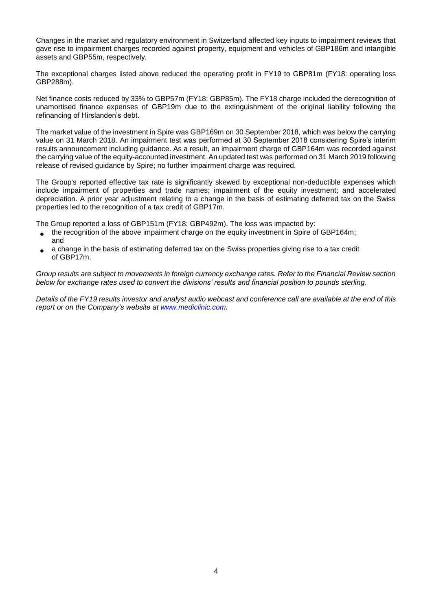Changes in the market and regulatory environment in Switzerland affected key inputs to impairment reviews that gave rise to impairment charges recorded against property, equipment and vehicles of GBP186m and intangible assets and GBP55m, respectively.

The exceptional charges listed above reduced the operating profit in FY19 to GBP81m (FY18: operating loss GBP288m).

Net finance costs reduced by 33% to GBP57m (FY18: GBP85m). The FY18 charge included the derecognition of unamortised finance expenses of GBP19m due to the extinguishment of the original liability following the refinancing of Hirslanden's debt.

The market value of the investment in Spire was GBP169m on 30 September 2018, which was below the carrying value on 31 March 2018. An impairment test was performed at 30 September 2018 considering Spire's interim results announcement including guidance. As a result, an impairment charge of GBP164m was recorded against the carrying value of the equity-accounted investment. An updated test was performed on 31 March 2019 following release of revised guidance by Spire; no further impairment charge was required.

The Group's reported effective tax rate is significantly skewed by exceptional non-deductible expenses which include impairment of properties and trade names; impairment of the equity investment; and accelerated depreciation. A prior year adjustment relating to a change in the basis of estimating deferred tax on the Swiss properties led to the recognition of a tax credit of GBP17m.

The Group reported a loss of GBP151m (FY18: GBP492m). The loss was impacted by:

- the recognition of the above impairment charge on the equity investment in Spire of GBP164m; and
- a change in the basis of estimating deferred tax on the Swiss properties giving rise to a tax credit of GBP17m.

*Group results are subject to movements in foreign currency exchange rates. Refer to the Financial Review section below for exchange rates used to convert the divisions' results and financial position to pounds sterling.*

*Details of the FY19 results investor and analyst audio webcast and conference call are available at the end of this report or on the Company's website at [www.mediclinic.com.](http://www.mediclinic.com/)*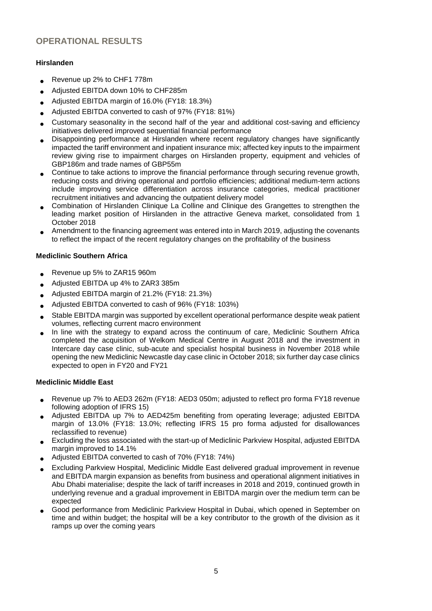## **OPERATIONAL RESULTS**

### **Hirslanden**

- Revenue up 2% to CHF1 778m
- Adjusted EBITDA down 10% to CHF285m
- Adjusted EBITDA margin of 16.0% (FY18: 18.3%)
- Adjusted EBITDA converted to cash of 97% (FY18: 81%)
- Customary seasonality in the second half of the year and additional cost-saving and efficiency initiatives delivered improved sequential financial performance
- Disappointing performance at Hirslanden where recent regulatory changes have significantly impacted the tariff environment and inpatient insurance mix; affected key inputs to the impairment review giving rise to impairment charges on Hirslanden property, equipment and vehicles of GBP186m and trade names of GBP55m
- Continue to take actions to improve the financial performance through securing revenue growth, reducing costs and driving operational and portfolio efficiencies; additional medium-term actions include improving service differentiation across insurance categories, medical practitioner recruitment initiatives and advancing the outpatient delivery model
- Combination of Hirslanden Clinique La Colline and Clinique des Grangettes to strengthen the leading market position of Hirslanden in the attractive Geneva market, consolidated from 1 October 2018
- Amendment to the financing agreement was entered into in March 2019, adjusting the covenants to reflect the impact of the recent regulatory changes on the profitability of the business

### **Mediclinic Southern Africa**

- Revenue up 5% to ZAR15 960m
- Adjusted EBITDA up 4% to ZAR3 385m
- Adjusted EBITDA margin of 21.2% (FY18: 21.3%)
- Adjusted EBITDA converted to cash of 96% (FY18: 103%)
- Stable EBITDA margin was supported by excellent operational performance despite weak patient volumes, reflecting current macro environment
- In line with the strategy to expand across the continuum of care, Mediclinic Southern Africa completed the acquisition of Welkom Medical Centre in August 2018 and the investment in Intercare day case clinic, sub-acute and specialist hospital business in November 2018 while opening the new Mediclinic Newcastle day case clinic in October 2018; six further day case clinics expected to open in FY20 and FY21

### **Mediclinic Middle East**

- Revenue up 7% to AED3 262m (FY18: AED3 050m; adjusted to reflect pro forma FY18 revenue following adoption of IFRS 15)
- Adjusted EBITDA up 7% to AED425m benefiting from operating leverage; adjusted EBITDA margin of 13.0% (FY18: 13.0%; reflecting IFRS 15 pro forma adjusted for disallowances reclassified to revenue)
- Excluding the loss associated with the start-up of Mediclinic Parkview Hospital, adjusted EBITDA margin improved to 14.1%
- Adjusted EBITDA converted to cash of 70% (FY18: 74%)
- Excluding Parkview Hospital, Mediclinic Middle East delivered gradual improvement in revenue and EBITDA margin expansion as benefits from business and operational alignment initiatives in Abu Dhabi materialise; despite the lack of tariff increases in 2018 and 2019, continued growth in underlying revenue and a gradual improvement in EBITDA margin over the medium term can be expected
- Good performance from Mediclinic Parkview Hospital in Dubai, which opened in September on time and within budget; the hospital will be a key contributor to the growth of the division as it ramps up over the coming years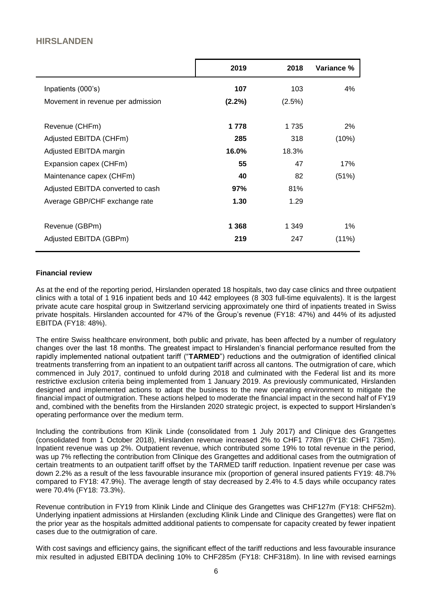## **HIRSLANDEN**

|                                   | 2019      | 2018      | Variance % |
|-----------------------------------|-----------|-----------|------------|
| Inpatients (000's)                | 107       | 103       | 4%         |
| Movement in revenue per admission | $(2.2\%)$ | $(2.5\%)$ |            |
| Revenue (CHFm)                    | 1 7 7 8   | 1 7 3 5   | 2%         |
| Adjusted EBITDA (CHFm)            | 285       | 318       | (10%)      |
| Adjusted EBITDA margin            | 16.0%     | 18.3%     |            |
| Expansion capex (CHFm)            | 55        | 47        | 17%        |
| Maintenance capex (CHFm)          | 40        | 82        | (51%)      |
| Adjusted EBITDA converted to cash | 97%       | 81%       |            |
| Average GBP/CHF exchange rate     | 1.30      | 1.29      |            |
| Revenue (GBPm)                    | 1 3 6 8   | 1 349     | $1\%$      |
| Adjusted EBITDA (GBPm)            | 219       | 247       | (11%)      |

### **Financial review**

As at the end of the reporting period, Hirslanden operated 18 hospitals, two day case clinics and three outpatient clinics with a total of 1 916 inpatient beds and 10 442 employees (8 303 full-time equivalents). It is the largest private acute care hospital group in Switzerland servicing approximately one third of inpatients treated in Swiss private hospitals. Hirslanden accounted for 47% of the Group's revenue (FY18: 47%) and 44% of its adjusted EBITDA (FY18: 48%).

The entire Swiss healthcare environment, both public and private, has been affected by a number of regulatory changes over the last 18 months. The greatest impact to Hirslanden's financial performance resulted from the rapidly implemented national outpatient tariff ("**TARMED**") reductions and the outmigration of identified clinical treatments transferring from an inpatient to an outpatient tariff across all cantons. The outmigration of care, which commenced in July 2017, continued to unfold during 2018 and culminated with the Federal list and its more restrictive exclusion criteria being implemented from 1 January 2019. As previously communicated, Hirslanden designed and implemented actions to adapt the business to the new operating environment to mitigate the financial impact of outmigration. These actions helped to moderate the financial impact in the second half of FY19 and, combined with the benefits from the Hirslanden 2020 strategic project, is expected to support Hirslanden's operating performance over the medium term.

Including the contributions from Klinik Linde (consolidated from 1 July 2017) and Clinique des Grangettes (consolidated from 1 October 2018), Hirslanden revenue increased 2% to CHF1 778m (FY18: CHF1 735m). Inpatient revenue was up 2%. Outpatient revenue, which contributed some 19% to total revenue in the period, was up 7% reflecting the contribution from Clinique des Grangettes and additional cases from the outmigration of certain treatments to an outpatient tariff offset by the TARMED tariff reduction. Inpatient revenue per case was down 2.2% as a result of the less favourable insurance mix (proportion of general insured patients FY19: 48.7% compared to FY18: 47.9%). The average length of stay decreased by 2.4% to 4.5 days while occupancy rates were 70.4% (FY18: 73.3%).

Revenue contribution in FY19 from Klinik Linde and Clinique des Grangettes was CHF127m (FY18: CHF52m). Underlying inpatient admissions at Hirslanden (excluding Klinik Linde and Clinique des Grangettes) were flat on the prior year as the hospitals admitted additional patients to compensate for capacity created by fewer inpatient cases due to the outmigration of care.

With cost savings and efficiency gains, the significant effect of the tariff reductions and less favourable insurance mix resulted in adjusted EBITDA declining 10% to CHF285m (FY18: CHF318m). In line with revised earnings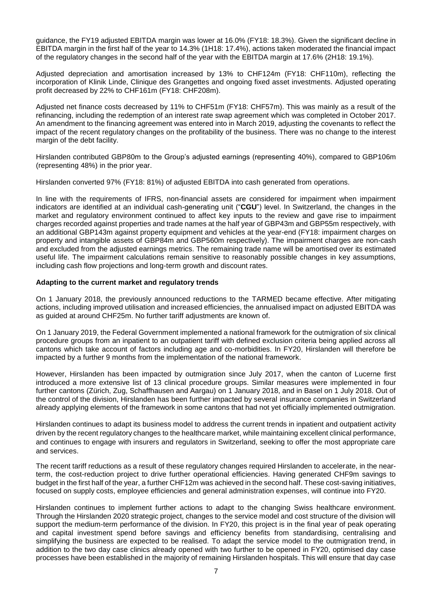guidance, the FY19 adjusted EBITDA margin was lower at 16.0% (FY18: 18.3%). Given the significant decline in EBITDA margin in the first half of the year to 14.3% (1H18: 17.4%), actions taken moderated the financial impact of the regulatory changes in the second half of the year with the EBITDA margin at 17.6% (2H18: 19.1%).

Adjusted depreciation and amortisation increased by 13% to CHF124m (FY18: CHF110m), reflecting the incorporation of Klinik Linde, Clinique des Grangettes and ongoing fixed asset investments. Adjusted operating profit decreased by 22% to CHF161m (FY18: CHF208m).

Adjusted net finance costs decreased by 11% to CHF51m (FY18: CHF57m). This was mainly as a result of the refinancing, including the redemption of an interest rate swap agreement which was completed in October 2017. An amendment to the financing agreement was entered into in March 2019, adjusting the covenants to reflect the impact of the recent regulatory changes on the profitability of the business. There was no change to the interest margin of the debt facility.

Hirslanden contributed GBP80m to the Group's adjusted earnings (representing 40%), compared to GBP106m (representing 48%) in the prior year.

Hirslanden converted 97% (FY18: 81%) of adjusted EBITDA into cash generated from operations.

In line with the requirements of IFRS, non-financial assets are considered for impairment when impairment indicators are identified at an individual cash-generating unit ("**CGU**") level. In Switzerland, the changes in the market and regulatory environment continued to affect key inputs to the review and gave rise to impairment charges recorded against properties and trade names at the half year of GBP43m and GBP55m respectively, with an additional GBP143m against property equipment and vehicles at the year-end (FY18: impairment charges on property and intangible assets of GBP84m and GBP560m respectively). The impairment charges are non-cash and excluded from the adjusted earnings metrics. The remaining trade name will be amortised over its estimated useful life. The impairment calculations remain sensitive to reasonably possible changes in key assumptions, including cash flow projections and long-term growth and discount rates.

### **Adapting to the current market and regulatory trends**

On 1 January 2018, the previously announced reductions to the TARMED became effective. After mitigating actions, including improved utilisation and increased efficiencies, the annualised impact on adjusted EBITDA was as guided at around CHF25m. No further tariff adjustments are known of.

On 1 January 2019, the Federal Government implemented a national framework for the outmigration of six clinical procedure groups from an inpatient to an outpatient tariff with defined exclusion criteria being applied across all cantons which take account of factors including age and co-morbidities. In FY20, Hirslanden will therefore be impacted by a further 9 months from the implementation of the national framework.

However, Hirslanden has been impacted by outmigration since July 2017, when the canton of Lucerne first introduced a more extensive list of 13 clinical procedure groups. Similar measures were implemented in four further cantons (Zürich, Zug, Schaffhausen and Aargau) on 1 January 2018, and in Basel on 1 July 2018. Out of the control of the division, Hirslanden has been further impacted by several insurance companies in Switzerland already applying elements of the framework in some cantons that had not yet officially implemented outmigration.

Hirslanden continues to adapt its business model to address the current trends in inpatient and outpatient activity driven by the recent regulatory changes to the healthcare market, while maintaining excellent clinical performance, and continues to engage with insurers and regulators in Switzerland, seeking to offer the most appropriate care and services.

The recent tariff reductions as a result of these regulatory changes required Hirslanden to accelerate, in the nearterm, the cost-reduction project to drive further operational efficiencies. Having generated CHF9m savings to budget in the first half of the year, a further CHF12m was achieved in the second half. These cost-saving initiatives, focused on supply costs, employee efficiencies and general administration expenses, will continue into FY20.

Hirslanden continues to implement further actions to adapt to the changing Swiss healthcare environment. Through the Hirslanden 2020 strategic project, changes to the service model and cost structure of the division will support the medium-term performance of the division. In FY20, this project is in the final year of peak operating and capital investment spend before savings and efficiency benefits from standardising, centralising and simplifying the business are expected to be realised. To adapt the service model to the outmigration trend, in addition to the two day case clinics already opened with two further to be opened in FY20, optimised day case processes have been established in the majority of remaining Hirslanden hospitals. This will ensure that day case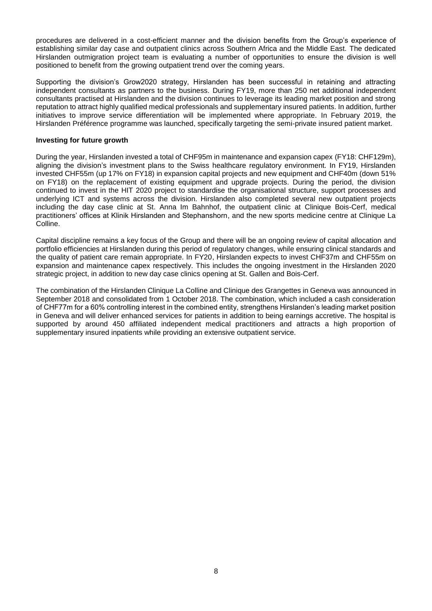procedures are delivered in a cost-efficient manner and the division benefits from the Group's experience of establishing similar day case and outpatient clinics across Southern Africa and the Middle East. The dedicated Hirslanden outmigration project team is evaluating a number of opportunities to ensure the division is well positioned to benefit from the growing outpatient trend over the coming years.

Supporting the division's Grow2020 strategy, Hirslanden has been successful in retaining and attracting independent consultants as partners to the business. During FY19, more than 250 net additional independent consultants practised at Hirslanden and the division continues to leverage its leading market position and strong reputation to attract highly qualified medical professionals and supplementary insured patients. In addition, further initiatives to improve service differentiation will be implemented where appropriate. In February 2019, the Hirslanden Préférence programme was launched, specifically targeting the semi-private insured patient market.

### **Investing for future growth**

During the year, Hirslanden invested a total of CHF95m in maintenance and expansion capex (FY18: CHF129m), aligning the division's investment plans to the Swiss healthcare regulatory environment. In FY19, Hirslanden invested CHF55m (up 17% on FY18) in expansion capital projects and new equipment and CHF40m (down 51% on FY18) on the replacement of existing equipment and upgrade projects. During the period, the division continued to invest in the HIT 2020 project to standardise the organisational structure, support processes and underlying ICT and systems across the division. Hirslanden also completed several new outpatient projects including the day case clinic at St. Anna Im Bahnhof, the outpatient clinic at Clinique Bois-Cerf, medical practitioners' offices at Klinik Hirslanden and Stephanshorn, and the new sports medicine centre at Clinique La Colline.

Capital discipline remains a key focus of the Group and there will be an ongoing review of capital allocation and portfolio efficiencies at Hirslanden during this period of regulatory changes, while ensuring clinical standards and the quality of patient care remain appropriate. In FY20, Hirslanden expects to invest CHF37m and CHF55m on expansion and maintenance capex respectively. This includes the ongoing investment in the Hirslanden 2020 strategic project, in addition to new day case clinics opening at St. Gallen and Bois-Cerf.

The combination of the Hirslanden Clinique La Colline and Clinique des Grangettes in Geneva was announced in September 2018 and consolidated from 1 October 2018. The combination, which included a cash consideration of CHF77m for a 60% controlling interest in the combined entity, strengthens Hirslanden's leading market position in Geneva and will deliver enhanced services for patients in addition to being earnings accretive. The hospital is supported by around 450 affiliated independent medical practitioners and attracts a high proportion of supplementary insured inpatients while providing an extensive outpatient service.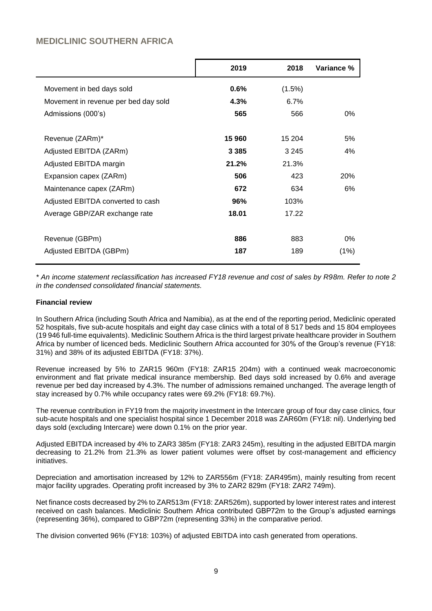## **MEDICLINIC SOUTHERN AFRICA**

|                                      | 2019    | 2018      | Variance % |
|--------------------------------------|---------|-----------|------------|
| Movement in bed days sold            | $0.6\%$ | $(1.5\%)$ |            |
| Movement in revenue per bed day sold | 4.3%    | 6.7%      |            |
| Admissions (000's)                   | 565     | 566       | 0%         |
| Revenue (ZARm)*                      | 15 960  | 15 204    | 5%         |
| Adjusted EBITDA (ZARm)               | 3 3 8 5 | 3 2 4 5   | 4%         |
| Adjusted EBITDA margin               | 21.2%   | 21.3%     |            |
| Expansion capex (ZARm)               | 506     | 423       | 20%        |
| Maintenance capex (ZARm)             | 672     | 634       | 6%         |
| Adjusted EBITDA converted to cash    | 96%     | 103%      |            |
| Average GBP/ZAR exchange rate        | 18.01   | 17.22     |            |
| Revenue (GBPm)                       | 886     | 883       | $0\%$      |
| Adjusted EBITDA (GBPm)               | 187     | 189       | (1%)       |

*\* An income statement reclassification has increased FY18 revenue and cost of sales by R98m. Refer to note 2 in the condensed consolidated financial statements.*

### **Financial review**

In Southern Africa (including South Africa and Namibia), as at the end of the reporting period, Mediclinic operated 52 hospitals, five sub-acute hospitals and eight day case clinics with a total of 8 517 beds and 15 804 employees (19 946 full-time equivalents). Mediclinic Southern Africa is the third largest private healthcare provider in Southern Africa by number of licenced beds. Mediclinic Southern Africa accounted for 30% of the Group's revenue (FY18: 31%) and 38% of its adjusted EBITDA (FY18: 37%).

Revenue increased by 5% to ZAR15 960m (FY18: ZAR15 204m) with a continued weak macroeconomic environment and flat private medical insurance membership. Bed days sold increased by 0.6% and average revenue per bed day increased by 4.3%. The number of admissions remained unchanged. The average length of stay increased by 0.7% while occupancy rates were 69.2% (FY18: 69.7%).

The revenue contribution in FY19 from the majority investment in the Intercare group of four day case clinics, four sub-acute hospitals and one specialist hospital since 1 December 2018 was ZAR60m (FY18: nil). Underlying bed days sold (excluding Intercare) were down 0.1% on the prior year.

Adjusted EBITDA increased by 4% to ZAR3 385m (FY18: ZAR3 245m), resulting in the adjusted EBITDA margin decreasing to 21.2% from 21.3% as lower patient volumes were offset by cost-management and efficiency initiatives.

Depreciation and amortisation increased by 12% to ZAR556m (FY18: ZAR495m), mainly resulting from recent major facility upgrades. Operating profit increased by 3% to ZAR2 829m (FY18: ZAR2 749m).

Net finance costs decreased by 2% to ZAR513m (FY18: ZAR526m), supported by lower interest rates and interest received on cash balances. Mediclinic Southern Africa contributed GBP72m to the Group's adjusted earnings (representing 36%), compared to GBP72m (representing 33%) in the comparative period.

The division converted 96% (FY18: 103%) of adjusted EBITDA into cash generated from operations.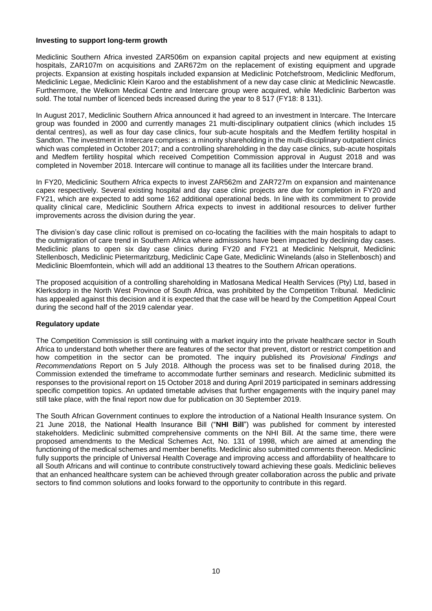### **Investing to support long-term growth**

Mediclinic Southern Africa invested ZAR506m on expansion capital projects and new equipment at existing hospitals, ZAR107m on acquisitions and ZAR672m on the replacement of existing equipment and upgrade projects. Expansion at existing hospitals included expansion at Mediclinic Potchefstroom, Mediclinic Medforum, Mediclinic Legae, Mediclinic Klein Karoo and the establishment of a new day case clinic at Mediclinic Newcastle. Furthermore, the Welkom Medical Centre and Intercare group were acquired, while Mediclinic Barberton was sold. The total number of licenced beds increased during the year to 8 517 (FY18: 8 131).

In August 2017, Mediclinic Southern Africa announced it had agreed to an investment in Intercare. The Intercare group was founded in 2000 and currently manages 21 multi-disciplinary outpatient clinics (which includes 15 dental centres), as well as four day case clinics, four sub-acute hospitals and the Medfem fertility hospital in Sandton. The investment in Intercare comprises: a minority shareholding in the multi-disciplinary outpatient clinics which was completed in October 2017; and a controlling shareholding in the day case clinics, sub-acute hospitals and Medfem fertility hospital which received Competition Commission approval in August 2018 and was completed in November 2018. Intercare will continue to manage all its facilities under the Intercare brand.

In FY20, Mediclinic Southern Africa expects to invest ZAR562m and ZAR727m on expansion and maintenance capex respectively. Several existing hospital and day case clinic projects are due for completion in FY20 and FY21, which are expected to add some 162 additional operational beds. In line with its commitment to provide quality clinical care, Mediclinic Southern Africa expects to invest in additional resources to deliver further improvements across the division during the year.

The division's day case clinic rollout is premised on co-locating the facilities with the main hospitals to adapt to the outmigration of care trend in Southern Africa where admissions have been impacted by declining day cases. Mediclinic plans to open six day case clinics during FY20 and FY21 at Mediclinic Nelspruit, Mediclinic Stellenbosch, Mediclinic Pietermaritzburg, Mediclinic Cape Gate, Mediclinic Winelands (also in Stellenbosch) and Mediclinic Bloemfontein, which will add an additional 13 theatres to the Southern African operations.

The proposed acquisition of a controlling shareholding in Matlosana Medical Health Services (Pty) Ltd, based in Klerksdorp in the North West Province of South Africa, was prohibited by the Competition Tribunal. Mediclinic has appealed against this decision and it is expected that the case will be heard by the Competition Appeal Court during the second half of the 2019 calendar year.

### **Regulatory update**

The Competition Commission is still continuing with a market inquiry into the private healthcare sector in South Africa to understand both whether there are features of the sector that prevent, distort or restrict competition and how competition in the sector can be promoted. The inquiry published its *Provisional Findings and Recommendations* Report on 5 July 2018. Although the process was set to be finalised during 2018, the Commission extended the timeframe to accommodate further seminars and research. Mediclinic submitted its responses to the provisional report on 15 October 2018 and during April 2019 participated in seminars addressing specific competition topics. An updated timetable advises that further engagements with the inquiry panel may still take place, with the final report now due for publication on 30 September 2019.

The South African Government continues to explore the introduction of a National Health Insurance system. On 21 June 2018, the National Health Insurance Bill ("**NHI Bill**") was published for comment by interested stakeholders. Mediclinic submitted comprehensive comments on the NHI Bill. At the same time, there were proposed amendments to the Medical Schemes Act, No. 131 of 1998, which are aimed at amending the functioning of the medical schemes and member benefits. Mediclinic also submitted comments thereon. Mediclinic fully supports the principle of Universal Health Coverage and improving access and affordability of healthcare to all South Africans and will continue to contribute constructively toward achieving these goals. Mediclinic believes that an enhanced healthcare system can be achieved through greater collaboration across the public and private sectors to find common solutions and looks forward to the opportunity to contribute in this regard.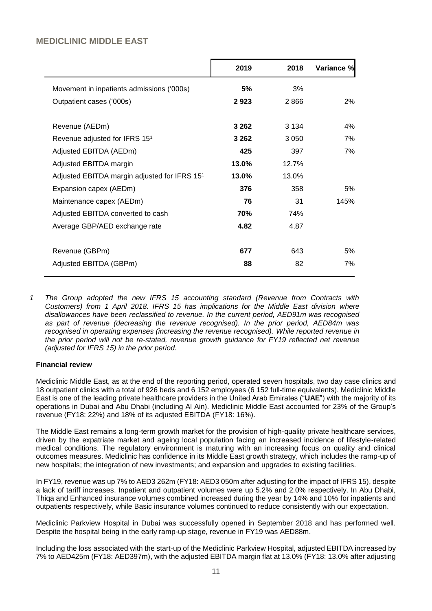## **MEDICLINIC MIDDLE EAST**

|                                                          | 2019    | 2018    | Variance % |
|----------------------------------------------------------|---------|---------|------------|
| Movement in inpatients admissions ('000s)                | 5%      | 3%      |            |
| Outpatient cases ('000s)                                 | 2923    | 2866    | 2%         |
| Revenue (AEDm)                                           | 3 2 6 2 | 3 1 3 4 | 4%         |
| Revenue adjusted for IFRS 151                            | 3 2 6 2 | 3 0 5 0 | 7%         |
| Adjusted EBITDA (AEDm)                                   | 425     | 397     | 7%         |
| Adjusted EBITDA margin                                   | 13.0%   | 12.7%   |            |
| Adjusted EBITDA margin adjusted for IFRS 15 <sup>1</sup> | 13.0%   | 13.0%   |            |
| Expansion capex (AEDm)                                   | 376     | 358     | 5%         |
| Maintenance capex (AEDm)                                 | 76      | 31      | 145%       |
| Adjusted EBITDA converted to cash                        | 70%     | 74%     |            |
| Average GBP/AED exchange rate                            | 4.82    | 4.87    |            |
| Revenue (GBPm)                                           | 677     | 643     | 5%         |
| Adjusted EBITDA (GBPm)                                   | 88      | 82      | 7%         |
|                                                          |         |         |            |

*1 The Group adopted the new IFRS 15 accounting standard (Revenue from Contracts with Customers) from 1 April 2018. IFRS 15 has implications for the Middle East division where disallowances have been reclassified to revenue. In the current period, AED91m was recognised as part of revenue (decreasing the revenue recognised). In the prior period, AED84m was recognised in operating expenses (increasing the revenue recognised). While reported revenue in the prior period will not be re-stated, revenue growth guidance for FY19 reflected net revenue (adjusted for IFRS 15) in the prior period.*

### **Financial review**

Mediclinic Middle East, as at the end of the reporting period, operated seven hospitals, two day case clinics and 18 outpatient clinics with a total of 926 beds and 6 152 employees (6 152 full-time equivalents). Mediclinic Middle East is one of the leading private healthcare providers in the United Arab Emirates ("**UAE**") with the majority of its operations in Dubai and Abu Dhabi (including Al Ain). Mediclinic Middle East accounted for 23% of the Group's revenue (FY18: 22%) and 18% of its adjusted EBITDA (FY18: 16%).

The Middle East remains a long-term growth market for the provision of high-quality private healthcare services, driven by the expatriate market and ageing local population facing an increased incidence of lifestyle-related medical conditions. The regulatory environment is maturing with an increasing focus on quality and clinical outcomes measures. Mediclinic has confidence in its Middle East growth strategy, which includes the ramp-up of new hospitals; the integration of new investments; and expansion and upgrades to existing facilities.

In FY19, revenue was up 7% to AED3 262m (FY18: AED3 050m after adjusting for the impact of IFRS 15), despite a lack of tariff increases. Inpatient and outpatient volumes were up 5.2% and 2.0% respectively. In Abu Dhabi, Thiqa and Enhanced insurance volumes combined increased during the year by 14% and 10% for inpatients and outpatients respectively, while Basic insurance volumes continued to reduce consistently with our expectation.

Mediclinic Parkview Hospital in Dubai was successfully opened in September 2018 and has performed well. Despite the hospital being in the early ramp-up stage, revenue in FY19 was AED88m.

Including the loss associated with the start-up of the Mediclinic Parkview Hospital, adjusted EBITDA increased by 7% to AED425m (FY18: AED397m), with the adjusted EBITDA margin flat at 13.0% (FY18: 13.0% after adjusting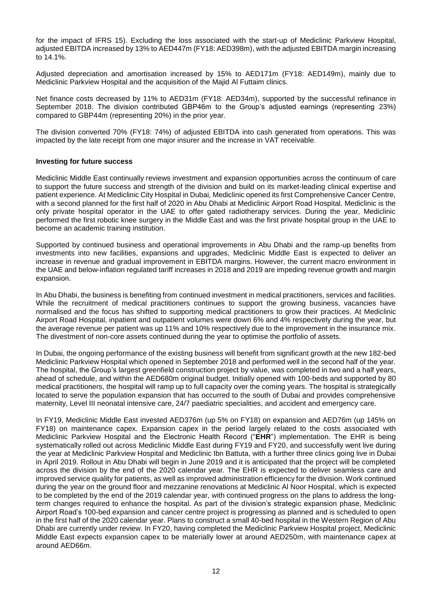for the impact of IFRS 15). Excluding the loss associated with the start-up of Mediclinic Parkview Hospital, adjusted EBITDA increased by 13% to AED447m (FY18: AED398m), with the adjusted EBITDA margin increasing to 14.1%.

Adjusted depreciation and amortisation increased by 15% to AED171m (FY18: AED149m), mainly due to Mediclinic Parkview Hospital and the acquisition of the Majid Al Futtaim clinics.

Net finance costs decreased by 11% to AED31m (FY18: AED34m), supported by the successful refinance in September 2018. The division contributed GBP46m to the Group's adjusted earnings (representing 23%) compared to GBP44m (representing 20%) in the prior year.

The division converted 70% (FY18: 74%) of adjusted EBITDA into cash generated from operations. This was impacted by the late receipt from one major insurer and the increase in VAT receivable.

### **Investing for future success**

Mediclinic Middle East continually reviews investment and expansion opportunities across the continuum of care to support the future success and strength of the division and build on its market-leading clinical expertise and patient experience. At Mediclinic City Hospital in Dubai, Mediclinic opened its first Comprehensive Cancer Centre, with a second planned for the first half of 2020 in Abu Dhabi at Mediclinic Airport Road Hospital. Mediclinic is the only private hospital operator in the UAE to offer gated radiotherapy services. During the year, Mediclinic performed the first robotic knee surgery in the Middle East and was the first private hospital group in the UAE to become an academic training institution.

Supported by continued business and operational improvements in Abu Dhabi and the ramp-up benefits from investments into new facilities, expansions and upgrades, Mediclinic Middle East is expected to deliver an increase in revenue and gradual improvement in EBITDA margins. However, the current macro environment in the UAE and below-inflation regulated tariff increases in 2018 and 2019 are impeding revenue growth and margin expansion.

In Abu Dhabi, the business is benefiting from continued investment in medical practitioners, services and facilities. While the recruitment of medical practitioners continues to support the growing business, vacancies have normalised and the focus has shifted to supporting medical practitioners to grow their practices. At Mediclinic Airport Road Hospital, inpatient and outpatient volumes were down 6% and 4% respectively during the year, but the average revenue per patient was up 11% and 10% respectively due to the improvement in the insurance mix. The divestment of non-core assets continued during the year to optimise the portfolio of assets.

In Dubai, the ongoing performance of the existing business will benefit from significant growth at the new 182-bed Mediclinic Parkview Hospital which opened in September 2018 and performed well in the second half of the year. The hospital, the Group's largest greenfield construction project by value, was completed in two and a half years, ahead of schedule, and within the AED680m original budget. Initially opened with 100-beds and supported by 80 medical practitioners, the hospital will ramp up to full capacity over the coming years. The hospital is strategically located to serve the population expansion that has occurred to the south of Dubai and provides comprehensive maternity, Level III neonatal intensive care, 24/7 paediatric specialities, and accident and emergency care.

In FY19, Mediclinic Middle East invested AED376m (up 5% on FY18) on expansion and AED76m (up 145% on FY18) on maintenance capex. Expansion capex in the period largely related to the costs associated with Mediclinic Parkview Hospital and the Electronic Health Record ("**EHR**") implementation. The EHR is being systematically rolled out across Mediclinic Middle East during FY19 and FY20, and successfully went live during the year at Mediclinic Parkview Hospital and Mediclinic Ibn Battuta, with a further three clinics going live in Dubai in April 2019. Rollout in Abu Dhabi will begin in June 2019 and it is anticipated that the project will be completed across the division by the end of the 2020 calendar year. The EHR is expected to deliver seamless care and improved service quality for patients, as well as improved administration efficiency for the division. Work continued during the year on the ground floor and mezzanine renovations at Mediclinic Al Noor Hospital, which is expected to be completed by the end of the 2019 calendar year, with continued progress on the plans to address the longterm changes required to enhance the hospital. As part of the division's strategic expansion phase, Mediclinic Airport Road's 100-bed expansion and cancer centre project is progressing as planned and is scheduled to open in the first half of the 2020 calendar year. Plans to construct a small 40-bed hospital in the Western Region of Abu Dhabi are currently under review. In FY20, having completed the Mediclinic Parkview Hospital project, Mediclinic Middle East expects expansion capex to be materially lower at around AED250m, with maintenance capex at around AED66m.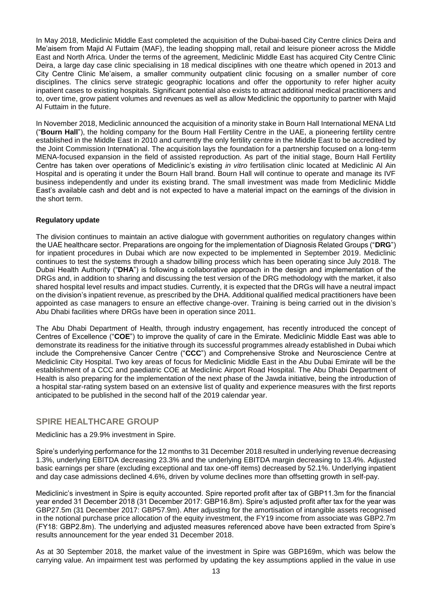In May 2018, Mediclinic Middle East completed the acquisition of the Dubai-based City Centre clinics Deira and Me'aisem from Majid Al Futtaim (MAF), the leading shopping mall, retail and leisure pioneer across the Middle East and North Africa. Under the terms of the agreement, Mediclinic Middle East has acquired City Centre Clinic Deira, a large day case clinic specialising in 18 medical disciplines with one theatre which opened in 2013 and City Centre Clinic Me'aisem, a smaller community outpatient clinic focusing on a smaller number of core disciplines. The clinics serve strategic geographic locations and offer the opportunity to refer higher acuity inpatient cases to existing hospitals. Significant potential also exists to attract additional medical practitioners and to, over time, grow patient volumes and revenues as well as allow Mediclinic the opportunity to partner with Majid Al Futtaim in the future.

In November 2018, Mediclinic announced the acquisition of a minority stake in Bourn Hall International MENA Ltd ("**Bourn Hall**"), the holding company for the Bourn Hall Fertility Centre in the UAE, a pioneering fertility centre established in the Middle East in 2010 and currently the only fertility centre in the Middle East to be accredited by the Joint Commission International. The acquisition lays the foundation for a partnership focused on a long-term MENA-focused expansion in the field of assisted reproduction. As part of the initial stage, Bourn Hall Fertility Centre has taken over operations of Mediclinic's existing *in vitro* fertilisation clinic located at Mediclinic Al Ain Hospital and is operating it under the Bourn Hall brand. Bourn Hall will continue to operate and manage its IVF business independently and under its existing brand. The small investment was made from Mediclinic Middle East's available cash and debt and is not expected to have a material impact on the earnings of the division in the short term.

### **Regulatory update**

The division continues to maintain an active dialogue with government authorities on regulatory changes within the UAE healthcare sector. Preparations are ongoing for the implementation of Diagnosis Related Groups ("**DRG**") for inpatient procedures in Dubai which are now expected to be implemented in September 2019. Mediclinic continues to test the systems through a shadow billing process which has been operating since July 2018. The Dubai Health Authority ("**DHA**") is following a collaborative approach in the design and implementation of the DRGs and, in addition to sharing and discussing the test version of the DRG methodology with the market, it also shared hospital level results and impact studies. Currently, it is expected that the DRGs will have a neutral impact on the division's inpatient revenue, as prescribed by the DHA. Additional qualified medical practitioners have been appointed as case managers to ensure an effective change-over. Training is being carried out in the division's Abu Dhabi facilities where DRGs have been in operation since 2011.

The Abu Dhabi Department of Health, through industry engagement, has recently introduced the concept of Centres of Excellence ("**COE**") to improve the quality of care in the Emirate. Mediclinic Middle East was able to demonstrate its readiness for the initiative through its successful programmes already established in Dubai which include the Comprehensive Cancer Centre ("**CCC**") and Comprehensive Stroke and Neuroscience Centre at Mediclinic City Hospital. Two key areas of focus for Mediclinic Middle East in the Abu Dubai Emirate will be the establishment of a CCC and paediatric COE at Mediclinic Airport Road Hospital. The Abu Dhabi Department of Health is also preparing for the implementation of the next phase of the Jawda initiative, being the introduction of a hospital star-rating system based on an extensive list of quality and experience measures with the first reports anticipated to be published in the second half of the 2019 calendar year.

## **SPIRE HEALTHCARE GROUP**

Mediclinic has a 29.9% investment in Spire.

Spire's underlying performance for the 12 months to 31 December 2018 resulted in underlying revenue decreasing 1.3%, underlying EBITDA decreasing 23.3% and the underlying EBITDA margin decreasing to 13.4%. Adjusted basic earnings per share (excluding exceptional and tax one-off items) decreased by 52.1%. Underlying inpatient and day case admissions declined 4.6%, driven by volume declines more than offsetting growth in self-pay.

Mediclinic's investment in Spire is equity accounted. Spire reported profit after tax of GBP11.3m for the financial year ended 31 December 2018 (31 December 2017: GBP16.8m). Spire's adjusted profit after tax for the year was GBP27.5m (31 December 2017: GBP57.9m). After adjusting for the amortisation of intangible assets recognised in the notional purchase price allocation of the equity investment, the FY19 income from associate was GBP2.7m (FY18: GBP2.8m). The underlying and adjusted measures referenced above have been extracted from Spire's results announcement for the year ended 31 December 2018.

As at 30 September 2018, the market value of the investment in Spire was GBP169m, which was below the carrying value. An impairment test was performed by updating the key assumptions applied in the value in use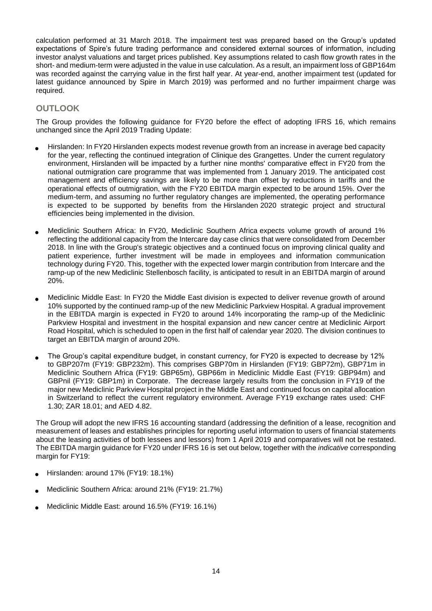calculation performed at 31 March 2018. The impairment test was prepared based on the Group's updated expectations of Spire's future trading performance and considered external sources of information, including investor analyst valuations and target prices published. Key assumptions related to cash flow growth rates in the short- and medium-term were adjusted in the value in use calculation. As a result, an impairment loss of GBP164m was recorded against the carrying value in the first half year. At year-end, another impairment test (updated for latest guidance announced by Spire in March 2019) was performed and no further impairment charge was required.

## **OUTLOOK**

The Group provides the following guidance for FY20 before the effect of adopting IFRS 16, which remains unchanged since the April 2019 Trading Update:

- Hirslanden: In FY20 Hirslanden expects modest revenue growth from an increase in average bed capacity for the year, reflecting the continued integration of Clinique des Grangettes. Under the current regulatory environment, Hirslanden will be impacted by a further nine months' comparative effect in FY20 from the national outmigration care programme that was implemented from 1 January 2019. The anticipated cost management and efficiency savings are likely to be more than offset by reductions in tariffs and the operational effects of outmigration, with the FY20 EBITDA margin expected to be around 15%. Over the medium-term, and assuming no further regulatory changes are implemented, the operating performance is expected to be supported by benefits from the Hirslanden 2020 strategic project and structural efficiencies being implemented in the division.
- Mediclinic Southern Africa: In FY20, Mediclinic Southern Africa expects volume growth of around 1% reflecting the additional capacity from the Intercare day case clinics that were consolidated from December 2018. In line with the Group's strategic objectives and a continued focus on improving clinical quality and patient experience, further investment will be made in employees and information communication technology during FY20. This, together with the expected lower margin contribution from Intercare and the ramp-up of the new Mediclinic Stellenbosch facility, is anticipated to result in an EBITDA margin of around 20%.
- Mediclinic Middle East: In FY20 the Middle East division is expected to deliver revenue growth of around 10% supported by the continued ramp-up of the new Mediclinic Parkview Hospital. A gradual improvement in the EBITDA margin is expected in FY20 to around 14% incorporating the ramp-up of the Mediclinic Parkview Hospital and investment in the hospital expansion and new cancer centre at Mediclinic Airport Road Hospital, which is scheduled to open in the first half of calendar year 2020. The division continues to target an EBITDA margin of around 20%.
- The Group's capital expenditure budget, in constant currency, for FY20 is expected to decrease by 12% to GBP207m (FY19: GBP232m). This comprises GBP70m in Hirslanden (FY19: GBP72m), GBP71m in Mediclinic Southern Africa (FY19: GBP65m), GBP66m in Mediclinic Middle East (FY19: GBP94m) and GBPnil (FY19: GBP1m) in Corporate. The decrease largely results from the conclusion in FY19 of the major new Mediclinic Parkview Hospital project in the Middle East and continued focus on capital allocation in Switzerland to reflect the current regulatory environment. Average FY19 exchange rates used: CHF 1.30; ZAR 18.01; and AED 4.82.

The Group will adopt the new IFRS 16 accounting standard (addressing the definition of a lease, recognition and measurement of leases and establishes principles for reporting useful information to users of financial statements about the leasing activities of both lessees and lessors) from 1 April 2019 and comparatives will not be restated. The EBITDA margin guidance for FY20 under IFRS 16 is set out below, together with the *indicative* corresponding margin for FY19:

- Hirslanden: around 17% (FY19: 18.1%)
- Mediclinic Southern Africa: around 21% (FY19: 21.7%)
- Mediclinic Middle East: around 16.5% (FY19: 16.1%)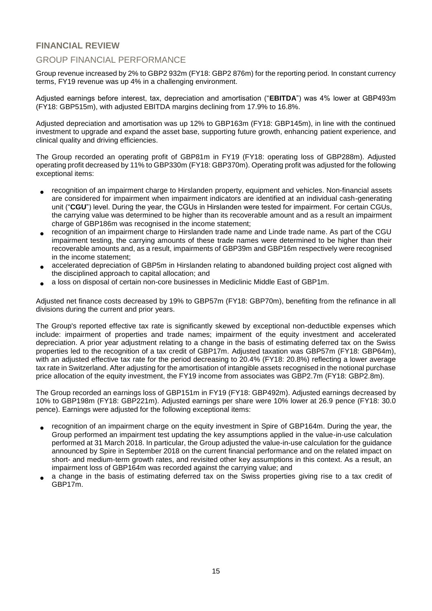## **FINANCIAL REVIEW**

## GROUP FINANCIAL PERFORMANCE

Group revenue increased by 2% to GBP2 932m (FY18: GBP2 876m) for the reporting period. In constant currency terms, FY19 revenue was up 4% in a challenging environment.

Adjusted earnings before interest, tax, depreciation and amortisation ("**EBITDA**") was 4% lower at GBP493m (FY18: GBP515m), with adjusted EBITDA margins declining from 17.9% to 16.8%.

Adjusted depreciation and amortisation was up 12% to GBP163m (FY18: GBP145m), in line with the continued investment to upgrade and expand the asset base, supporting future growth, enhancing patient experience, and clinical quality and driving efficiencies.

The Group recorded an operating profit of GBP81m in FY19 (FY18: operating loss of GBP288m). Adjusted operating profit decreased by 11% to GBP330m (FY18: GBP370m). Operating profit was adjusted for the following exceptional items:

- recognition of an impairment charge to Hirslanden property, equipment and vehicles. Non-financial assets are considered for impairment when impairment indicators are identified at an individual cash-generating unit ("**CGU**") level. During the year, the CGUs in Hirslanden were tested for impairment. For certain CGUs, the carrying value was determined to be higher than its recoverable amount and as a result an impairment charge of GBP186m was recognised in the income statement;
- recognition of an impairment charge to Hirslanden trade name and Linde trade name. As part of the CGU impairment testing, the carrying amounts of these trade names were determined to be higher than their recoverable amounts and, as a result, impairments of GBP39m and GBP16m respectively were recognised in the income statement;
- accelerated depreciation of GBP5m in Hirslanden relating to abandoned building project cost aligned with the disciplined approach to capital allocation; and
- a loss on disposal of certain non-core businesses in Mediclinic Middle East of GBP1m.

Adjusted net finance costs decreased by 19% to GBP57m (FY18: GBP70m), benefiting from the refinance in all divisions during the current and prior years.

The Group's reported effective tax rate is significantly skewed by exceptional non-deductible expenses which include: impairment of properties and trade names; impairment of the equity investment and accelerated depreciation. A prior year adjustment relating to a change in the basis of estimating deferred tax on the Swiss properties led to the recognition of a tax credit of GBP17m. Adjusted taxation was GBP57m (FY18: GBP64m), with an adjusted effective tax rate for the period decreasing to 20.4% (FY18: 20.8%) reflecting a lower average tax rate in Switzerland. After adjusting for the amortisation of intangible assets recognised in the notional purchase price allocation of the equity investment, the FY19 income from associates was GBP2.7m (FY18: GBP2.8m).

The Group recorded an earnings loss of GBP151m in FY19 (FY18: GBP492m). Adjusted earnings decreased by 10% to GBP198m (FY18: GBP221m). Adjusted earnings per share were 10% lower at 26.9 pence (FY18: 30.0 pence). Earnings were adjusted for the following exceptional items:

- recognition of an impairment charge on the equity investment in Spire of GBP164m. During the year, the Group performed an impairment test updating the key assumptions applied in the value-in-use calculation performed at 31 March 2018. In particular, the Group adjusted the value-in-use calculation for the guidance announced by Spire in September 2018 on the current financial performance and on the related impact on short- and medium-term growth rates, and revisited other key assumptions in this context. As a result, an impairment loss of GBP164m was recorded against the carrying value; and
- a change in the basis of estimating deferred tax on the Swiss properties giving rise to a tax credit of GBP17m.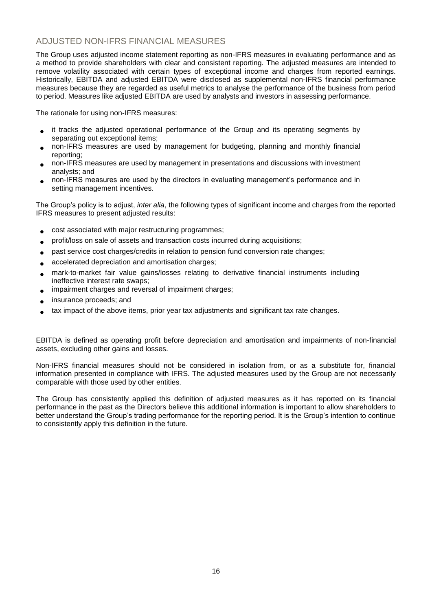## ADJUSTED NON-IFRS FINANCIAL MEASURES

The Group uses adjusted income statement reporting as non-IFRS measures in evaluating performance and as a method to provide shareholders with clear and consistent reporting. The adjusted measures are intended to remove volatility associated with certain types of exceptional income and charges from reported earnings. Historically, EBITDA and adjusted EBITDA were disclosed as supplemental non-IFRS financial performance measures because they are regarded as useful metrics to analyse the performance of the business from period to period. Measures like adjusted EBITDA are used by analysts and investors in assessing performance.

The rationale for using non-IFRS measures:

- it tracks the adjusted operational performance of the Group and its operating segments by separating out exceptional items;
- non-IFRS measures are used by management for budgeting, planning and monthly financial reporting;
- non-IFRS measures are used by management in presentations and discussions with investment analysts; and
- non-IFRS measures are used by the directors in evaluating management's performance and in setting management incentives.

The Group's policy is to adjust, *inter alia*, the following types of significant income and charges from the reported IFRS measures to present adjusted results:

- cost associated with major restructuring programmes;
- profit/loss on sale of assets and transaction costs incurred during acquisitions;
- past service cost charges/credits in relation to pension fund conversion rate changes;
- accelerated depreciation and amortisation charges;
- mark-to-market fair value gains/losses relating to derivative financial instruments including ineffective interest rate swaps;
- impairment charges and reversal of impairment charges;
- insurance proceeds; and
- tax impact of the above items, prior year tax adjustments and significant tax rate changes.

EBITDA is defined as operating profit before depreciation and amortisation and impairments of non-financial assets, excluding other gains and losses.

Non-IFRS financial measures should not be considered in isolation from, or as a substitute for, financial information presented in compliance with IFRS. The adjusted measures used by the Group are not necessarily comparable with those used by other entities.

The Group has consistently applied this definition of adjusted measures as it has reported on its financial performance in the past as the Directors believe this additional information is important to allow shareholders to better understand the Group's trading performance for the reporting period. It is the Group's intention to continue to consistently apply this definition in the future.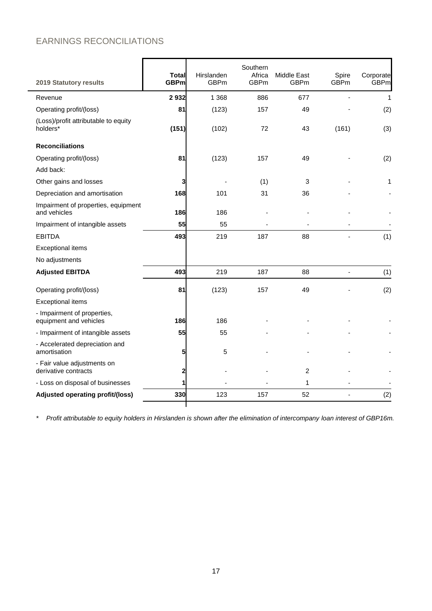# EARNINGS RECONCILIATIONS

| <b>2019 Statutory results</b>                         | <b>Total</b><br><b>GBPm</b> | Hirslanden<br><b>GBPm</b> | Southern<br>Africa<br><b>GBPm</b> | Middle East<br><b>GBPm</b> | Spire<br><b>GBPm</b> | Corporate<br><b>GBPm</b> |
|-------------------------------------------------------|-----------------------------|---------------------------|-----------------------------------|----------------------------|----------------------|--------------------------|
| Revenue                                               | 2932                        | 1 3 6 8                   | 886                               | 677                        |                      | 1                        |
| Operating profit/(loss)                               | 81                          | (123)                     | 157                               | 49                         |                      | (2)                      |
| (Loss)/profit attributable to equity<br>holders*      | (151)                       | (102)                     | 72                                | 43                         | (161)                | (3)                      |
| <b>Reconciliations</b>                                |                             |                           |                                   |                            |                      |                          |
| Operating profit/(loss)                               | 81                          | (123)                     | 157                               | 49                         |                      | (2)                      |
| Add back:                                             |                             |                           |                                   |                            |                      |                          |
| Other gains and losses                                | З                           |                           | (1)                               | 3                          |                      | 1                        |
| Depreciation and amortisation                         | 168                         | 101                       | 31                                | 36                         |                      |                          |
| Impairment of properties, equipment<br>and vehicles   | 186                         | 186                       |                                   |                            |                      |                          |
| Impairment of intangible assets                       | 55                          | 55                        |                                   |                            |                      |                          |
| <b>EBITDA</b>                                         | 493                         | 219                       | 187                               | 88                         |                      | (1)                      |
| <b>Exceptional items</b>                              |                             |                           |                                   |                            |                      |                          |
| No adjustments                                        |                             |                           |                                   |                            |                      |                          |
| <b>Adjusted EBITDA</b>                                | 493                         | 219                       | 187                               | 88                         | $\overline{a}$       | (1)                      |
| Operating profit/(loss)                               | 81                          | (123)                     | 157                               | 49                         |                      | (2)                      |
| <b>Exceptional items</b>                              |                             |                           |                                   |                            |                      |                          |
| - Impairment of properties,<br>equipment and vehicles | 186                         | 186                       |                                   |                            |                      |                          |
| - Impairment of intangible assets                     | 55                          | 55                        |                                   |                            |                      |                          |
| - Accelerated depreciation and<br>amortisation        | 5                           | 5                         |                                   |                            |                      |                          |
| - Fair value adjustments on<br>derivative contracts   | 2                           |                           |                                   | 2                          |                      |                          |
| - Loss on disposal of businesses                      |                             |                           |                                   | 1                          |                      |                          |
| Adjusted operating profit/(loss)                      | 330                         | 123                       | 157                               | 52                         |                      | (2)                      |
|                                                       |                             |                           |                                   |                            |                      |                          |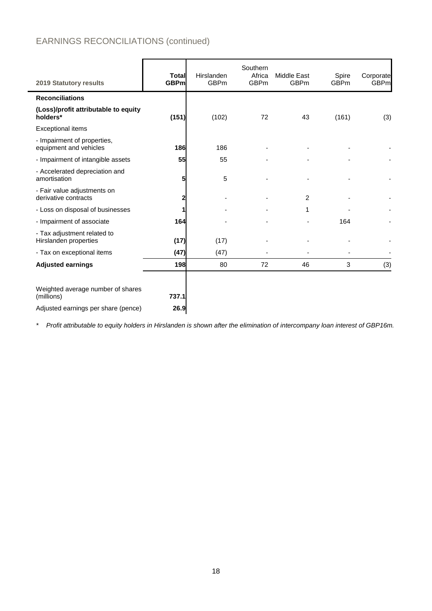# EARNINGS RECONCILIATIONS (continued)

| 2019 Statutory results                                | <b>Total</b><br><b>GBPm</b> | Hirslanden<br><b>GBPm</b> | Southern<br>Africa<br><b>GBPm</b> | <b>Middle East</b><br><b>GBPm</b> | Spire<br><b>GBPm</b> | Corporate<br><b>GBPm</b> |
|-------------------------------------------------------|-----------------------------|---------------------------|-----------------------------------|-----------------------------------|----------------------|--------------------------|
| <b>Reconciliations</b>                                |                             |                           |                                   |                                   |                      |                          |
| (Loss)/profit attributable to equity<br>holders*      | (151)                       | (102)                     | 72                                | 43                                | (161)                | (3)                      |
| <b>Exceptional items</b>                              |                             |                           |                                   |                                   |                      |                          |
| - Impairment of properties,<br>equipment and vehicles | 186                         | 186                       |                                   |                                   |                      |                          |
| - Impairment of intangible assets                     | 55                          | 55                        |                                   |                                   |                      |                          |
| - Accelerated depreciation and<br>amortisation        | 5                           | 5                         |                                   |                                   |                      |                          |
| - Fair value adjustments on<br>derivative contracts   | 2                           |                           |                                   | 2                                 |                      |                          |
| - Loss on disposal of businesses                      |                             |                           |                                   | 1                                 |                      |                          |
| - Impairment of associate                             | 164                         |                           |                                   |                                   | 164                  |                          |
| - Tax adjustment related to<br>Hirslanden properties  | (17)                        | (17)                      |                                   |                                   |                      |                          |
| - Tax on exceptional items                            | (47)                        | (47)                      |                                   |                                   |                      |                          |
| <b>Adjusted earnings</b>                              | 198                         | 80                        | 72                                | 46                                | 3                    | (3)                      |
| Weighted average number of shares<br>(millions)       | 737.1                       |                           |                                   |                                   |                      |                          |
| Adjusted earnings per share (pence)                   | 26.9                        |                           |                                   |                                   |                      |                          |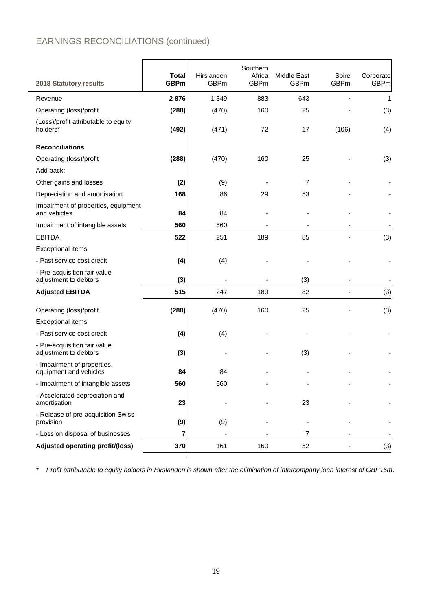# EARNINGS RECONCILIATIONS (continued)

| 2018 Statutory results                                | <b>Total</b><br><b>GBPm</b> | Hirslanden<br><b>GBPm</b> | Southern<br>Africa<br><b>GBPm</b> | Middle East<br><b>GBPm</b> | Spire<br><b>GBPm</b>     | Corporate<br><b>GBPm</b> |
|-------------------------------------------------------|-----------------------------|---------------------------|-----------------------------------|----------------------------|--------------------------|--------------------------|
| Revenue                                               | 2876                        | 1 3 4 9                   | 883                               | 643                        |                          | 1                        |
| Operating (loss)/profit                               | (288)                       | (470)                     | 160                               | 25                         |                          | (3)                      |
| (Loss)/profit attributable to equity<br>holders*      | (492)                       | (471)                     | 72                                | 17                         | (106)                    | (4)                      |
| <b>Reconciliations</b>                                |                             |                           |                                   |                            |                          |                          |
| Operating (loss)/profit                               | (288)                       | (470)                     | 160                               | 25                         |                          | (3)                      |
| Add back:                                             |                             |                           |                                   |                            |                          |                          |
| Other gains and losses                                | (2)                         | (9)                       |                                   | 7                          |                          |                          |
| Depreciation and amortisation                         | 168                         | 86                        | 29                                | 53                         |                          |                          |
| Impairment of properties, equipment<br>and vehicles   | 84                          | 84                        |                                   |                            |                          |                          |
| Impairment of intangible assets                       | 560                         | 560                       |                                   |                            |                          |                          |
| <b>EBITDA</b>                                         | 522                         | 251                       | 189                               | 85                         |                          | (3)                      |
| <b>Exceptional items</b>                              |                             |                           |                                   |                            |                          |                          |
| - Past service cost credit                            | (4)                         | (4)                       |                                   |                            |                          |                          |
| - Pre-acquisition fair value<br>adjustment to debtors | (3)                         |                           |                                   | (3)                        |                          |                          |
| <b>Adjusted EBITDA</b>                                | 515                         | 247                       | 189                               | 82                         | $\overline{\phantom{0}}$ | (3)                      |
| Operating (loss)/profit                               | (288)                       | (470)                     | 160                               | 25                         |                          | (3)                      |
| <b>Exceptional items</b>                              |                             |                           |                                   |                            |                          |                          |
| - Past service cost credit                            | (4)                         | (4)                       |                                   |                            |                          |                          |
| - Pre-acquisition fair value<br>adjustment to debtors | (3)                         |                           |                                   | (3)                        |                          |                          |
| - Impairment of properties,<br>equipment and vehicles | 84                          | 84                        |                                   |                            |                          |                          |
| - Impairment of intangible assets                     | 560                         | 560                       |                                   |                            |                          |                          |
| - Accelerated depreciation and<br>amortisation        | 23                          |                           |                                   | 23                         |                          |                          |
| - Release of pre-acquisition Swiss<br>provision       | (9)                         | (9)                       |                                   |                            |                          |                          |
| - Loss on disposal of businesses                      | 7                           |                           |                                   | 7                          |                          |                          |
| Adjusted operating profit/(loss)                      | 370                         | 161                       | 160                               | 52                         |                          | (3)                      |
|                                                       |                             |                           |                                   |                            |                          |                          |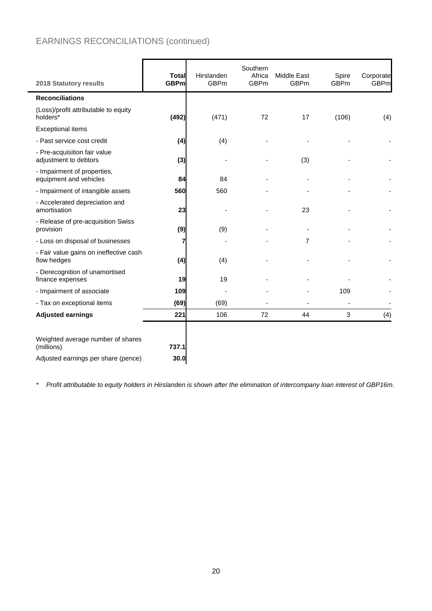# EARNINGS RECONCILIATIONS (continued)

| 2018 Statutory results                                | Total<br><b>GBPm</b> | Hirslanden<br><b>GBPm</b> | Southern<br>Africa<br><b>GBPm</b> | Middle East<br><b>GBPm</b> | Spire<br><b>GBPm</b> | Corporate<br><b>GBPm</b> |
|-------------------------------------------------------|----------------------|---------------------------|-----------------------------------|----------------------------|----------------------|--------------------------|
| <b>Reconciliations</b>                                |                      |                           |                                   |                            |                      |                          |
| (Loss)/profit attributable to equity<br>holders*      | (492)                | (471)                     | 72                                | 17                         | (106)                | (4)                      |
| <b>Exceptional items</b>                              |                      |                           |                                   |                            |                      |                          |
| - Past service cost credit                            | (4)                  | (4)                       |                                   |                            |                      |                          |
| - Pre-acquisition fair value<br>adjustment to debtors | (3)                  |                           |                                   | (3)                        |                      |                          |
| - Impairment of properties,<br>equipment and vehicles | 84                   | 84                        |                                   |                            |                      |                          |
| - Impairment of intangible assets                     | 560                  | 560                       |                                   |                            |                      |                          |
| - Accelerated depreciation and<br>amortisation        | 23                   |                           |                                   | 23                         |                      |                          |
| - Release of pre-acquisition Swiss<br>provision       | (9)                  | (9)                       |                                   |                            |                      |                          |
| - Loss on disposal of businesses                      | 7                    |                           |                                   | 7                          |                      |                          |
| - Fair value gains on ineffective cash<br>flow hedges | (4)                  | (4)                       |                                   |                            |                      |                          |
| - Derecognition of unamortised<br>finance expenses    | 19                   | 19                        |                                   |                            |                      |                          |
| - Impairment of associate                             | 109                  |                           |                                   |                            | 109                  |                          |
| - Tax on exceptional items                            | (69)                 | (69)                      |                                   |                            |                      |                          |
| <b>Adjusted earnings</b>                              | 221                  | 106                       | 72                                | 44                         | 3                    | (4)                      |
|                                                       |                      |                           |                                   |                            |                      |                          |
| Weighted average number of shares<br>(millions)       | 737.1                |                           |                                   |                            |                      |                          |
| Adjusted earnings per share (pence)                   | 30.0                 |                           |                                   |                            |                      |                          |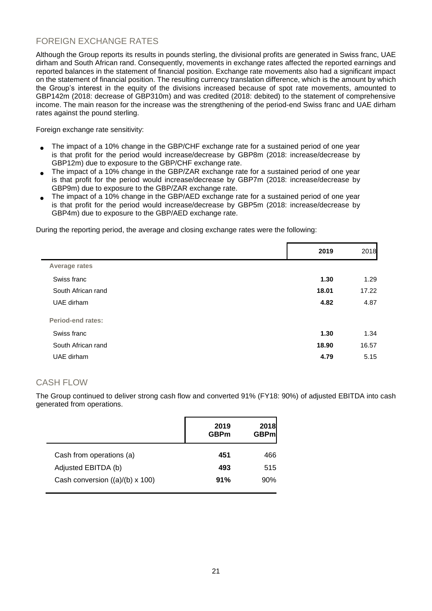## FOREIGN EXCHANGE RATES

Although the Group reports its results in pounds sterling, the divisional profits are generated in Swiss franc, UAE dirham and South African rand. Consequently, movements in exchange rates affected the reported earnings and reported balances in the statement of financial position. Exchange rate movements also had a significant impact on the statement of financial position. The resulting currency translation difference, which is the amount by which the Group's interest in the equity of the divisions increased because of spot rate movements, amounted to GBP142m (2018: decrease of GBP310m) and was credited (2018: debited) to the statement of comprehensive income. The main reason for the increase was the strengthening of the period-end Swiss franc and UAE dirham rates against the pound sterling.

Foreign exchange rate sensitivity:

- The impact of a 10% change in the GBP/CHF exchange rate for a sustained period of one year is that profit for the period would increase/decrease by GBP8m (2018: increase/decrease by GBP12m) due to exposure to the GBP/CHF exchange rate.
- The impact of a 10% change in the GBP/ZAR exchange rate for a sustained period of one year is that profit for the period would increase/decrease by GBP7m (2018: increase/decrease by GBP9m) due to exposure to the GBP/ZAR exchange rate.
- The impact of a 10% change in the GBP/AED exchange rate for a sustained period of one year is that profit for the period would increase/decrease by GBP5m (2018: increase/decrease by GBP4m) due to exposure to the GBP/AED exchange rate.

During the reporting period, the average and closing exchange rates were the following:

|                          | 2019  | 2018  |
|--------------------------|-------|-------|
| <b>Average rates</b>     |       |       |
| Swiss franc              | 1.30  | 1.29  |
| South African rand       | 18.01 | 17.22 |
| UAE dirham               | 4.82  | 4.87  |
| <b>Period-end rates:</b> |       |       |
| Swiss franc              | 1.30  | 1.34  |
| South African rand       | 18.90 | 16.57 |
| UAE dirham               | 4.79  | 5.15  |
|                          |       |       |

## CASH FLOW

The Group continued to deliver strong cash flow and converted 91% (FY18: 90%) of adjusted EBITDA into cash generated from operations.

|                                 | 2019<br><b>GBPm</b> | 2018<br><b>GBPm</b> |
|---------------------------------|---------------------|---------------------|
| Cash from operations (a)        | 451                 | 466                 |
| Adjusted EBITDA (b)             | 493                 | 515                 |
| Cash conversion ((a)/(b) x 100) | 91%                 | 90%                 |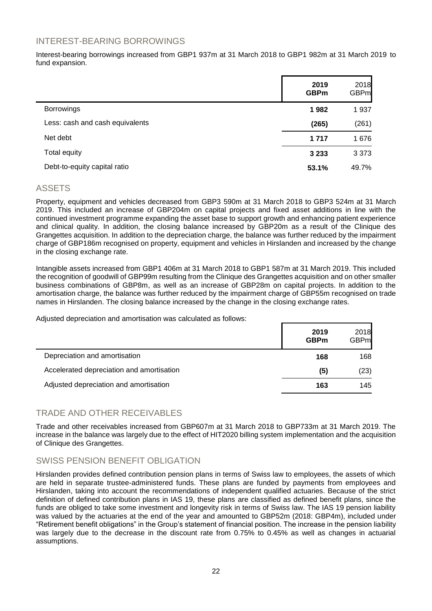## INTEREST-BEARING BORROWINGS

Interest-bearing borrowings increased from GBP1 937m at 31 March 2018 to GBP1 982m at 31 March 2019 to fund expansion.

|                                 | 2019<br><b>GBPm</b> | 2018<br><b>GBPm</b> |
|---------------------------------|---------------------|---------------------|
| <b>Borrowings</b>               | 1982                | 1937                |
| Less: cash and cash equivalents | (265)               | (261)               |
| Net debt                        | 1 7 1 7             | 1676                |
| Total equity                    | 3 2 3 3             | 3 3 7 3             |
| Debt-to-equity capital ratio    | 53.1%               | 49.7%               |

## ASSETS

Property, equipment and vehicles decreased from GBP3 590m at 31 March 2018 to GBP3 524m at 31 March 2019. This included an increase of GBP204m on capital projects and fixed asset additions in line with the continued investment programme expanding the asset base to support growth and enhancing patient experience and clinical quality. In addition, the closing balance increased by GBP20m as a result of the Clinique des Grangettes acquisition. In addition to the depreciation charge, the balance was further reduced by the impairment charge of GBP186m recognised on property, equipment and vehicles in Hirslanden and increased by the change in the closing exchange rate.

Intangible assets increased from GBP1 406m at 31 March 2018 to GBP1 587m at 31 March 2019. This included the recognition of goodwill of GBP99m resulting from the Clinique des Grangettes acquisition and on other smaller business combinations of GBP8m, as well as an increase of GBP28m on capital projects. In addition to the amortisation charge, the balance was further reduced by the impairment charge of GBP55m recognised on trade names in Hirslanden. The closing balance increased by the change in the closing exchange rates.

Adjusted depreciation and amortisation was calculated as follows:

|                                           | 2019<br><b>GBPm</b> | 2018<br><b>GBPm</b> |
|-------------------------------------------|---------------------|---------------------|
| Depreciation and amortisation             | 168                 | 168                 |
| Accelerated depreciation and amortisation | (5)                 | (23)                |
| Adjusted depreciation and amortisation    | 163                 | 145                 |

## TRADE AND OTHER RECEIVABLES

Trade and other receivables increased from GBP607m at 31 March 2018 to GBP733m at 31 March 2019. The increase in the balance was largely due to the effect of HIT2020 billing system implementation and the acquisition of Clinique des Grangettes.

## SWISS PENSION BENEFIT OBLIGATION

Hirslanden provides defined contribution pension plans in terms of Swiss law to employees, the assets of which are held in separate trustee-administered funds. These plans are funded by payments from employees and Hirslanden, taking into account the recommendations of independent qualified actuaries. Because of the strict definition of defined contribution plans in IAS 19, these plans are classified as defined benefit plans, since the funds are obliged to take some investment and longevity risk in terms of Swiss law. The IAS 19 pension liability was valued by the actuaries at the end of the year and amounted to GBP52m (2018: GBP4m), included under "Retirement benefit obligations" in the Group's statement of financial position. The increase in the pension liability was largely due to the decrease in the discount rate from 0.75% to 0.45% as well as changes in actuarial assumptions.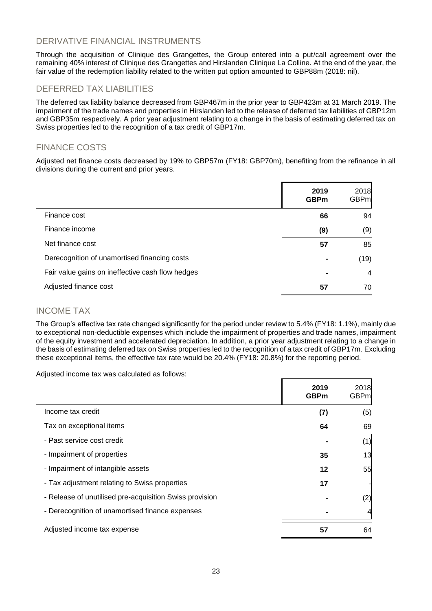## DERIVATIVE FINANCIAL INSTRUMENTS

Through the acquisition of Clinique des Grangettes, the Group entered into a put/call agreement over the remaining 40% interest of Clinique des Grangettes and Hirslanden Clinique La Colline. At the end of the year, the fair value of the redemption liability related to the written put option amounted to GBP88m (2018: nil).

## DEFERRED TAX LIABILITIES

The deferred tax liability balance decreased from GBP467m in the prior year to GBP423m at 31 March 2019. The impairment of the trade names and properties in Hirslanden led to the release of deferred tax liabilities of GBP12m and GBP35m respectively. A prior year adjustment relating to a change in the basis of estimating deferred tax on Swiss properties led to the recognition of a tax credit of GBP17m.

## FINANCE COSTS

Adjusted net finance costs decreased by 19% to GBP57m (FY18: GBP70m), benefiting from the refinance in all divisions during the current and prior years.

|                                                  | 2019<br><b>GBPm</b> | 2018<br><b>GBPm</b> |
|--------------------------------------------------|---------------------|---------------------|
| Finance cost                                     | 66                  | 94                  |
| Finance income                                   | (9)                 | (9)                 |
| Net finance cost                                 | 57                  | 85                  |
| Derecognition of unamortised financing costs     | ۰                   | (19)                |
| Fair value gains on ineffective cash flow hedges | $\blacksquare$      | 4                   |
| Adjusted finance cost                            | 57                  | 70                  |

### INCOME TAX

The Group's effective tax rate changed significantly for the period under review to 5.4% (FY18: 1.1%), mainly due to exceptional non-deductible expenses which include the impairment of properties and trade names, impairment of the equity investment and accelerated depreciation. In addition, a prior year adjustment relating to a change in the basis of estimating deferred tax on Swiss properties led to the recognition of a tax credit of GBP17m. Excluding these exceptional items, the effective tax rate would be 20.4% (FY18: 20.8%) for the reporting period.

Adjusted income tax was calculated as follows:

|                                                         | 2019<br><b>GBPm</b> | 2018<br><b>GBPm</b> |
|---------------------------------------------------------|---------------------|---------------------|
| Income tax credit                                       | (7)                 | (5)                 |
| Tax on exceptional items                                | 64                  | 69                  |
| - Past service cost credit                              |                     | (1)                 |
| - Impairment of properties                              | 35                  | 13                  |
| - Impairment of intangible assets                       | 12                  | 55                  |
| - Tax adjustment relating to Swiss properties           | 17                  |                     |
| - Release of unutilised pre-acquisition Swiss provision |                     | (2)                 |
| - Derecognition of unamortised finance expenses         |                     | 4                   |
| Adjusted income tax expense                             | 57                  | 64                  |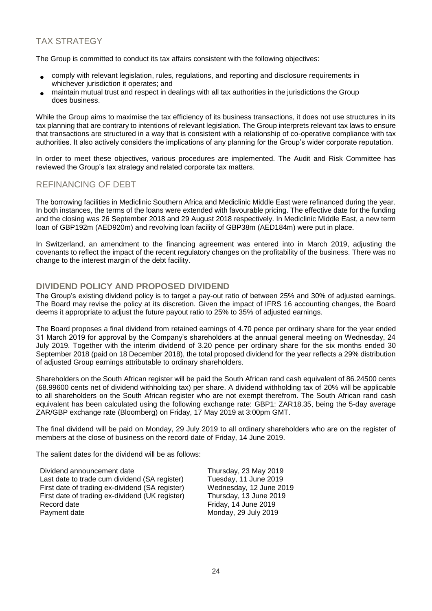## TAX STRATEGY

The Group is committed to conduct its tax affairs consistent with the following objectives:

- comply with relevant legislation, rules, regulations, and reporting and disclosure requirements in whichever jurisdiction it operates; and
- maintain mutual trust and respect in dealings with all tax authorities in the jurisdictions the Group does business.

While the Group aims to maximise the tax efficiency of its business transactions, it does not use structures in its tax planning that are contrary to intentions of relevant legislation. The Group interprets relevant tax laws to ensure that transactions are structured in a way that is consistent with a relationship of co-operative compliance with tax authorities. It also actively considers the implications of any planning for the Group's wider corporate reputation.

In order to meet these objectives, various procedures are implemented. The Audit and Risk Committee has reviewed the Group's tax strategy and related corporate tax matters.

## REFINANCING OF DEBT

The borrowing facilities in Mediclinic Southern Africa and Mediclinic Middle East were refinanced during the year. In both instances, the terms of the loans were extended with favourable pricing. The effective date for the funding and the closing was 26 September 2018 and 29 August 2018 respectively. In Mediclinic Middle East, a new term loan of GBP192m (AED920m) and revolving loan facility of GBP38m (AED184m) were put in place.

In Switzerland, an amendment to the financing agreement was entered into in March 2019, adjusting the covenants to reflect the impact of the recent regulatory changes on the profitability of the business. There was no change to the interest margin of the debt facility.

## **DIVIDEND POLICY AND PROPOSED DIVIDEND**

The Group's existing dividend policy is to target a pay-out ratio of between 25% and 30% of adjusted earnings. The Board may revise the policy at its discretion. Given the impact of IFRS 16 accounting changes, the Board deems it appropriate to adjust the future payout ratio to 25% to 35% of adjusted earnings.

The Board proposes a final dividend from retained earnings of 4.70 pence per ordinary share for the year ended 31 March 2019 for approval by the Company's shareholders at the annual general meeting on Wednesday, 24 July 2019. Together with the interim dividend of 3.20 pence per ordinary share for the six months ended 30 September 2018 (paid on 18 December 2018), the total proposed dividend for the year reflects a 29% distribution of adjusted Group earnings attributable to ordinary shareholders.

Shareholders on the South African register will be paid the South African rand cash equivalent of 86.24500 cents (68.99600 cents net of dividend withholding tax) per share. A dividend withholding tax of 20% will be applicable to all shareholders on the South African register who are not exempt therefrom. The South African rand cash equivalent has been calculated using the following exchange rate: GBP1: ZAR18.35, being the 5-day average ZAR/GBP exchange rate (Bloomberg) on Friday, 17 May 2019 at 3:00pm GMT.

The final dividend will be paid on Monday, 29 July 2019 to all ordinary shareholders who are on the register of members at the close of business on the record date of Friday, 14 June 2019.

The salient dates for the dividend will be as follows:

Dividend announcement date Thursday, 23 May 2019 Last date to trade cum dividend (SA register) Tuesday, 11 June 2019<br>First date of trading ex-dividend (SA register) Wednesday, 12 June 2019 First date of trading ex-dividend (SA register) Wednesday, 12 June 20<br>First date of trading ex-dividend (UK register) Thursday, 13 June 2019 First date of trading ex-dividend (UK register)<br>Record date Payment date Monday, 29 July 2019

Friday, 14 June 2019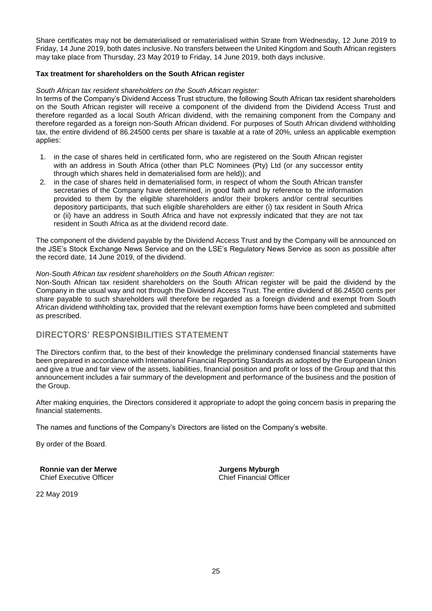Share certificates may not be dematerialised or rematerialised within Strate from Wednesday, 12 June 2019 to Friday, 14 June 2019, both dates inclusive. No transfers between the United Kingdom and South African registers may take place from Thursday, 23 May 2019 to Friday, 14 June 2019, both days inclusive.

### **Tax treatment for shareholders on the South African register**

### *South African tax resident shareholders on the South African register:*

In terms of the Company's Dividend Access Trust structure, the following South African tax resident shareholders on the South African register will receive a component of the dividend from the Dividend Access Trust and therefore regarded as a local South African dividend, with the remaining component from the Company and therefore regarded as a foreign non-South African dividend. For purposes of South African dividend withholding tax, the entire dividend of 86.24500 cents per share is taxable at a rate of 20%, unless an applicable exemption applies:

- 1. in the case of shares held in certificated form, who are registered on the South African register with an address in South Africa (other than PLC Nominees (Pty) Ltd (or any successor entity through which shares held in dematerialised form are held)); and
- 2. in the case of shares held in dematerialised form, in respect of whom the South African transfer secretaries of the Company have determined, in good faith and by reference to the information provided to them by the eligible shareholders and/or their brokers and/or central securities depository participants, that such eligible shareholders are either (i) tax resident in South Africa or (ii) have an address in South Africa and have not expressly indicated that they are not tax resident in South Africa as at the dividend record date.

The component of the dividend payable by the Dividend Access Trust and by the Company will be announced on the JSE's Stock Exchange News Service and on the LSE's Regulatory News Service as soon as possible after the record date, 14 June 2019, of the dividend.

#### *Non-South African tax resident shareholders on the South African register:*

Non-South African tax resident shareholders on the South African register will be paid the dividend by the Company in the usual way and not through the Dividend Access Trust. The entire dividend of 86.24500 cents per share payable to such shareholders will therefore be regarded as a foreign dividend and exempt from South African dividend withholding tax, provided that the relevant exemption forms have been completed and submitted as prescribed.

### **DIRECTORS' RESPONSIBILITIES STATEMENT**

The Directors confirm that, to the best of their knowledge the preliminary condensed financial statements have been prepared in accordance with International Financial Reporting Standards as adopted by the European Union and give a true and fair view of the assets, liabilities, financial position and profit or loss of the Group and that this announcement includes a fair summary of the development and performance of the business and the position of the Group.

After making enquiries, the Directors considered it appropriate to adopt the going concern basis in preparing the financial statements.

The names and functions of the Company's Directors are listed on the Company's website.

By order of the Board.

**Ronnie van der Merwe Jurgens Myburgh<br>
Chief Executive Officer Jurgens Myburgh**<br>
Chief Financial Officer Chief Executive Officer

22 May 2019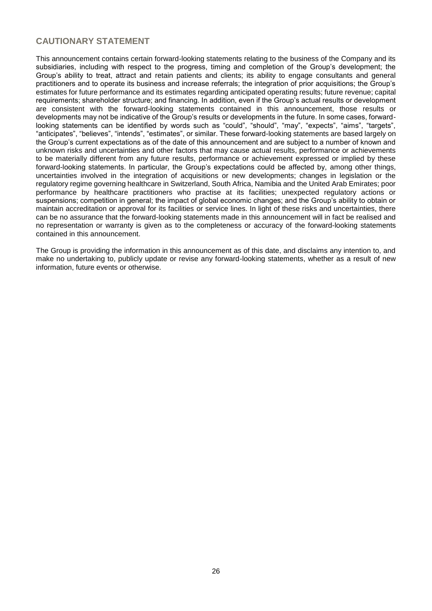## **CAUTIONARY STATEMENT**

This announcement contains certain forward-looking statements relating to the business of the Company and its subsidiaries, including with respect to the progress, timing and completion of the Group's development; the Group's ability to treat, attract and retain patients and clients; its ability to engage consultants and general practitioners and to operate its business and increase referrals; the integration of prior acquisitions; the Group's estimates for future performance and its estimates regarding anticipated operating results; future revenue; capital requirements; shareholder structure; and financing. In addition, even if the Group's actual results or development are consistent with the forward-looking statements contained in this announcement, those results or developments may not be indicative of the Group's results or developments in the future. In some cases, forwardlooking statements can be identified by words such as "could", "should", "may", "expects", "aims", "targets", "anticipates", "believes", "intends", "estimates", or similar. These forward-looking statements are based largely on the Group's current expectations as of the date of this announcement and are subject to a number of known and unknown risks and uncertainties and other factors that may cause actual results, performance or achievements to be materially different from any future results, performance or achievement expressed or implied by these forward-looking statements. In particular, the Group's expectations could be affected by, among other things, uncertainties involved in the integration of acquisitions or new developments; changes in legislation or the regulatory regime governing healthcare in Switzerland, South Africa, Namibia and the United Arab Emirates; poor performance by healthcare practitioners who practise at its facilities; unexpected regulatory actions or suspensions; competition in general; the impact of global economic changes; and the Group's ability to obtain or maintain accreditation or approval for its facilities or service lines. In light of these risks and uncertainties, there can be no assurance that the forward-looking statements made in this announcement will in fact be realised and no representation or warranty is given as to the completeness or accuracy of the forward-looking statements contained in this announcement.

The Group is providing the information in this announcement as of this date, and disclaims any intention to, and make no undertaking to, publicly update or revise any forward-looking statements, whether as a result of new information, future events or otherwise.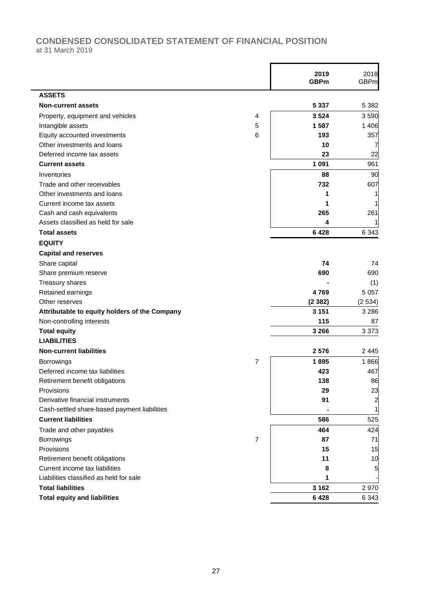## **CONDENSED CONSOLIDATED STATEMENT OF FINANCIAL POSITION** at 31 March 2019

|                                               |                | 2019<br><b>GBPm</b> | 2018<br><b>GBPm</b> |
|-----------------------------------------------|----------------|---------------------|---------------------|
| <b>ASSETS</b>                                 |                |                     |                     |
| <b>Non-current assets</b>                     |                | 5 3 3 7             | 5 3 8 2             |
| Property, equipment and vehicles              | 4              | 3 5 24              | 3590                |
| Intangible assets                             | 5              | 1587                | 1 4 0 6             |
| Equity accounted investments                  | 6              | 193                 | 357                 |
| Other investments and loans                   |                | 10                  | 7                   |
| Deferred income tax assets                    |                | 23                  | 22                  |
| <b>Current assets</b>                         |                | 1 0 9 1             | 961                 |
| Inventories                                   |                | 88                  | 90                  |
| Trade and other receivables                   |                | 732                 | 607                 |
| Other investments and loans                   |                | 1                   |                     |
| Current income tax assets                     |                | 1                   |                     |
| Cash and cash equivalents                     |                | 265                 | 261                 |
| Assets classified as held for sale            |                | 4                   |                     |
| <b>Total assets</b>                           |                | 6428                | 6 3 4 3             |
| <b>EQUITY</b>                                 |                |                     |                     |
| <b>Capital and reserves</b>                   |                |                     |                     |
| Share capital                                 |                | 74                  | 74                  |
| Share premium reserve                         |                | 690                 | 690                 |
| Treasury shares                               |                |                     | (1)                 |
| Retained earnings                             |                | 4769                | 5 0 5 7             |
| Other reserves                                |                | (2382)              | (2534)              |
| Attributable to equity holders of the Company |                | 3 1 5 1             | 3 2 8 6             |
| Non-controlling interests                     |                | 115                 | 87                  |
| <b>Total equity</b>                           |                | 3 2 6 6             | 3 3 7 3             |
| <b>LIABILITIES</b>                            |                |                     |                     |
| <b>Non-current liabilities</b>                |                | 2 5 7 6             | 2 4 4 5             |
| <b>Borrowings</b>                             | 7              | 1895                | 1866                |
| Deferred income tax liabilities               |                | 423                 | 467                 |
| Retirement benefit obligations                |                | 138                 | 86                  |
| Provisions                                    |                | 29                  | 23                  |
| Derivative financial instruments              |                | 91                  | $\overline{a}$      |
| Cash-settled share-based payment liabilities  |                |                     | 1                   |
| <b>Current liabilities</b>                    |                | 586                 | 525                 |
| Trade and other payables                      |                | 464                 | 424                 |
| Borrowings                                    | $\overline{7}$ | 87                  | 71                  |
| Provisions                                    |                | 15                  | 15                  |
| Retirement benefit obligations                |                | 11                  | 10                  |
| Current income tax liabilities                |                | 8                   | 5                   |
| Liabilities classified as held for sale       |                | 1                   |                     |
| <b>Total liabilities</b>                      |                | 3 1 6 2             | 2970                |
|                                               |                |                     |                     |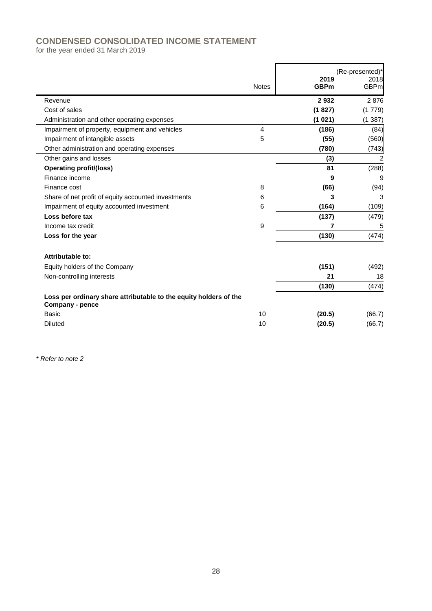# **CONDENSED CONSOLIDATED INCOME STATEMENT**

for the year ended 31 March 2019

|                                                                                      | <b>Notes</b>   | 2019<br><b>GBPm</b> | (Re-presented)*<br>2018<br><b>GBPm</b> |
|--------------------------------------------------------------------------------------|----------------|---------------------|----------------------------------------|
| Revenue                                                                              |                | 2932                | 2876                                   |
| Cost of sales                                                                        |                | (1827)              | (1779)                                 |
| Administration and other operating expenses                                          |                | (1 021)             | (1387)                                 |
| Impairment of property, equipment and vehicles                                       | $\overline{4}$ | (186)               | (84)                                   |
| Impairment of intangible assets                                                      | 5              | (55)                | (560)                                  |
| Other administration and operating expenses                                          |                | (780)               | (743)                                  |
| Other gains and losses                                                               |                | (3)                 | 2                                      |
| <b>Operating profit/(loss)</b>                                                       |                | 81                  | (288)                                  |
| Finance income                                                                       |                | 9                   | 9                                      |
| Finance cost                                                                         | 8              | (66)                | (94)                                   |
| Share of net profit of equity accounted investments                                  | 6              | 3                   | 3                                      |
| Impairment of equity accounted investment                                            | 6              | (164)               | (109)                                  |
| Loss before tax                                                                      |                | (137)               | (479)                                  |
| Income tax credit                                                                    | 9              | 7                   | 5                                      |
| Loss for the year                                                                    |                | (130)               | (474)                                  |
| Attributable to:                                                                     |                |                     |                                        |
| Equity holders of the Company                                                        |                | (151)               | (492)                                  |
| Non-controlling interests                                                            |                | 21                  | 18                                     |
|                                                                                      |                | (130)               | (474)                                  |
| Loss per ordinary share attributable to the equity holders of the<br>Company - pence |                |                     |                                        |
| <b>Basic</b>                                                                         | 10             | (20.5)              | (66.7)                                 |
| <b>Diluted</b>                                                                       | 10             | (20.5)              | (66.7)                                 |
|                                                                                      |                |                     |                                        |

*\* Refer to note 2*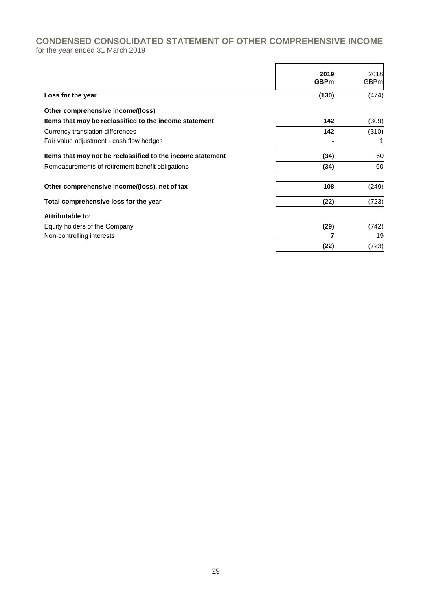## **CONDENSED CONSOLIDATED STATEMENT OF OTHER COMPREHENSIVE INCOME** for the year ended 31 March 2019

|                                                            | 2019<br><b>GBPm</b> | 2018<br><b>GBPm</b> |
|------------------------------------------------------------|---------------------|---------------------|
| Loss for the year                                          | (130)               | (474)               |
| Other comprehensive income/(loss)                          |                     |                     |
| Items that may be reclassified to the income statement     | 142                 | (309)               |
| Currency translation differences                           | 142                 | (310)               |
| Fair value adjustment - cash flow hedges                   |                     |                     |
| Items that may not be reclassified to the income statement | (34)                | 60                  |
| Remeasurements of retirement benefit obligations           | (34)                | 60                  |
| Other comprehensive income/(loss), net of tax              | 108                 | (249)               |
| Total comprehensive loss for the year                      | (22)                | (723)               |
| Attributable to:                                           |                     |                     |
| Equity holders of the Company                              | (29)                | (742)               |
| Non-controlling interests                                  |                     | 19                  |
|                                                            | (22)                | (723)               |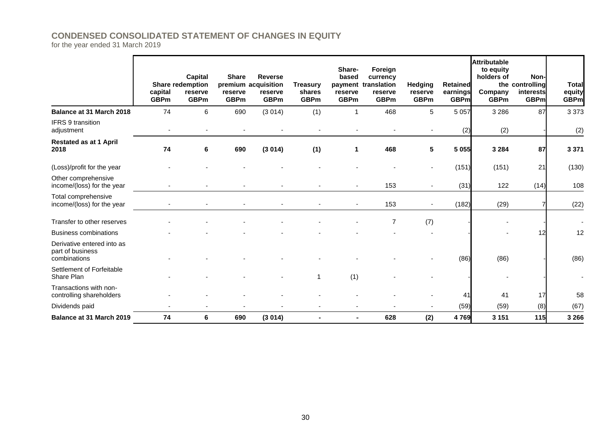## **CONDENSED CONSOLIDATED STATEMENT OF CHANGES IN EQUITY**

for the year ended 31 March 2019

|                                                                | capital<br><b>GBPm</b> | Capital<br><b>Share redemption</b><br>reserve<br><b>GBPm</b> | <b>Share</b><br>reserve<br><b>GBPm</b> | <b>Reverse</b><br>premium acquisition<br>reserve<br><b>GBPm</b> | <b>Treasury</b><br>shares<br><b>GBPm</b> | Share-<br>based<br>reserve<br><b>GBPm</b> | Foreign<br>currency<br>payment translation<br>reserve<br><b>GBPm</b> | <b>Hedging</b><br>reserve<br><b>GBPm</b> | <b>Retained</b><br>earnings<br><b>GBPm</b> | <b>Attributable</b><br>to equity<br>holders of<br>Company<br><b>GBPm</b> | Non-l<br>the controlling<br>interests<br><b>GBPm</b> | <b>Total</b><br>equity<br><b>GBPm</b> |
|----------------------------------------------------------------|------------------------|--------------------------------------------------------------|----------------------------------------|-----------------------------------------------------------------|------------------------------------------|-------------------------------------------|----------------------------------------------------------------------|------------------------------------------|--------------------------------------------|--------------------------------------------------------------------------|------------------------------------------------------|---------------------------------------|
| Balance at 31 March 2018                                       | 74                     | 6                                                            | 690                                    | (3014)                                                          | (1)                                      | 1                                         | 468                                                                  | 5                                        | 5 0 5 7                                    | 3 2 8 6                                                                  | 87                                                   | 3 3 7 3                               |
| IFRS 9 transition<br>adjustment                                |                        |                                                              |                                        |                                                                 |                                          |                                           |                                                                      |                                          | (2)                                        | (2)                                                                      |                                                      | (2)                                   |
| <b>Restated as at 1 April</b><br>2018                          | 74                     | 6                                                            | 690                                    | (3014)                                                          | (1)                                      | 1                                         | 468                                                                  | 5                                        | 5 0 5 5                                    | 3 2 8 4                                                                  | 87                                                   | 3 3 7 1                               |
| (Loss)/profit for the year                                     |                        |                                                              |                                        |                                                                 |                                          |                                           |                                                                      |                                          | (151)                                      | (151)                                                                    | 21                                                   | (130)                                 |
| Other comprehensive<br>income/(loss) for the year              |                        |                                                              |                                        |                                                                 |                                          |                                           | 153                                                                  | $\sim$                                   | (31)                                       | 122                                                                      | (14)                                                 | 108                                   |
| Total comprehensive<br>income/(loss) for the year              |                        |                                                              |                                        |                                                                 |                                          |                                           | 153                                                                  |                                          | (182)                                      | (29)                                                                     |                                                      | (22)                                  |
| Transfer to other reserves                                     |                        |                                                              |                                        |                                                                 |                                          |                                           | 7                                                                    | (7)                                      |                                            |                                                                          |                                                      |                                       |
| <b>Business combinations</b>                                   |                        |                                                              |                                        |                                                                 |                                          |                                           |                                                                      |                                          |                                            |                                                                          | 12                                                   | 12                                    |
| Derivative entered into as<br>part of business<br>combinations |                        |                                                              |                                        |                                                                 |                                          |                                           |                                                                      |                                          | (86)                                       | (86)                                                                     |                                                      | (86)                                  |
| Settlement of Forfeitable<br>Share Plan                        |                        |                                                              |                                        |                                                                 | -1                                       | (1)                                       |                                                                      |                                          |                                            |                                                                          |                                                      |                                       |
| Transactions with non-<br>controlling shareholders             |                        |                                                              |                                        |                                                                 |                                          |                                           |                                                                      |                                          | 41                                         | 41                                                                       | 17                                                   | 58                                    |
| Dividends paid                                                 |                        |                                                              |                                        |                                                                 |                                          |                                           |                                                                      |                                          | (59)                                       | (59)                                                                     | (8)                                                  | (67)                                  |
| <b>Balance at 31 March 2019</b>                                | 74                     | 6                                                            | 690                                    | (3014)                                                          |                                          |                                           | 628                                                                  | (2)                                      | 4769                                       | 3 1 5 1                                                                  | 115                                                  | 3 2 6 6                               |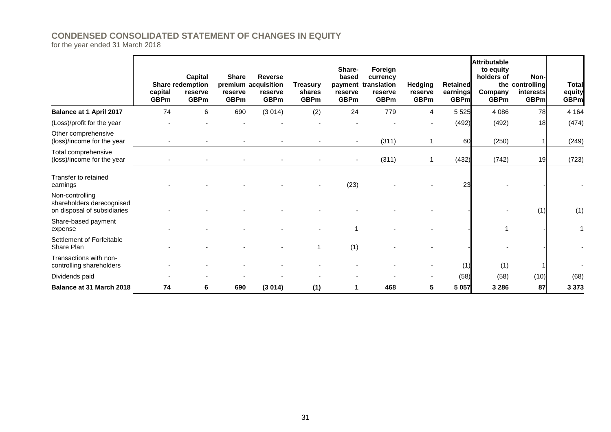## **CONDENSED CONSOLIDATED STATEMENT OF CHANGES IN EQUITY**

for the year ended 31 March 2018

|                                                                             | capital<br><b>GBPm</b> | <b>Capital</b><br><b>Share redemption</b><br>reserve<br><b>GBPm</b> | <b>Share</b><br>reserve<br><b>GBPm</b> | <b>Reverse</b><br>premium acquisition<br>reserve<br><b>GBPm</b> | Treasury<br>shares<br><b>GBPm</b> | Share-<br>based<br>reserve<br><b>GBPm</b> | Foreign<br>currency<br>payment translation<br>reserve<br><b>GBPm</b> | Hedging<br>reserve<br><b>GBPm</b> | <b>Retained</b><br>earnings<br><b>GBPm</b> | <b>Attributable</b><br>to equity<br>holders of<br>Company<br><b>GBPm</b> | Non-l<br>the controlling<br>interests<br><b>GBPm</b> | <b>Total</b><br>equity<br><b>GBPm</b> |
|-----------------------------------------------------------------------------|------------------------|---------------------------------------------------------------------|----------------------------------------|-----------------------------------------------------------------|-----------------------------------|-------------------------------------------|----------------------------------------------------------------------|-----------------------------------|--------------------------------------------|--------------------------------------------------------------------------|------------------------------------------------------|---------------------------------------|
| <b>Balance at 1 April 2017</b>                                              | 74                     | 6                                                                   | 690                                    | (3014)                                                          | (2)                               | 24                                        | 779                                                                  | 4                                 | 5 5 2 5                                    | 4 0 8 6                                                                  | 78                                                   | 4 1 6 4                               |
| (Loss)/profit for the year                                                  |                        |                                                                     |                                        |                                                                 |                                   |                                           |                                                                      |                                   | (492)                                      | (492)                                                                    | 18                                                   | (474)                                 |
| Other comprehensive<br>(loss)/income for the year                           |                        |                                                                     |                                        |                                                                 |                                   |                                           | (311)                                                                |                                   | 60                                         | (250)                                                                    |                                                      | (249)                                 |
| Total comprehensive<br>(loss)/income for the year                           |                        |                                                                     |                                        |                                                                 |                                   |                                           | (311)                                                                |                                   | (432)                                      | (742)                                                                    | 19                                                   | (723)                                 |
| Transfer to retained<br>earnings                                            |                        |                                                                     |                                        |                                                                 |                                   | (23)                                      |                                                                      |                                   | 23                                         |                                                                          |                                                      |                                       |
| Non-controlling<br>shareholders derecognised<br>on disposal of subsidiaries |                        |                                                                     |                                        |                                                                 |                                   |                                           |                                                                      |                                   |                                            |                                                                          | (1)                                                  | (1)                                   |
| Share-based payment<br>expense                                              |                        |                                                                     |                                        |                                                                 |                                   |                                           |                                                                      |                                   |                                            |                                                                          |                                                      |                                       |
| Settlement of Forfeitable<br>Share Plan                                     |                        |                                                                     |                                        |                                                                 |                                   | (1)                                       |                                                                      |                                   |                                            |                                                                          |                                                      |                                       |
| Transactions with non-<br>controlling shareholders                          |                        |                                                                     |                                        |                                                                 |                                   |                                           |                                                                      |                                   | (1)                                        | (1)                                                                      |                                                      |                                       |
| Dividends paid                                                              |                        |                                                                     |                                        |                                                                 |                                   |                                           |                                                                      |                                   | (58)                                       | (58)                                                                     | (10)                                                 | (68)                                  |
| <b>Balance at 31 March 2018</b>                                             | 74                     | 6                                                                   | 690                                    | (3014)                                                          | (1)                               | 1                                         | 468                                                                  | $5\phantom{.0}$                   | 5 0 5 7                                    | 3 2 8 6                                                                  | 87                                                   | 3 3 7 3                               |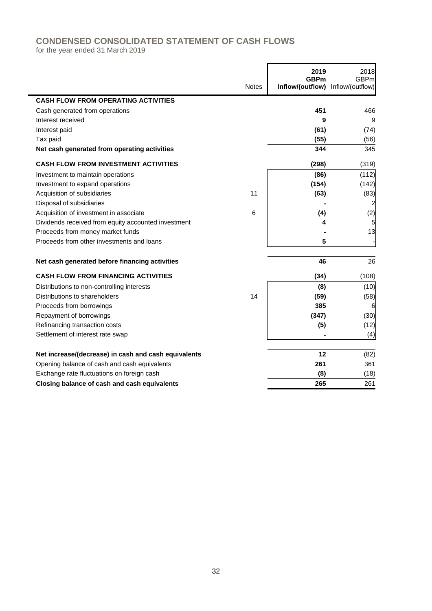# **CONDENSED CONSOLIDATED STATEMENT OF CASH FLOWS**

for the year ended 31 March 2019

|                                                      | <b>Notes</b> | 2019<br><b>GBPm</b><br>Inflow/(outflow) Inflow/(outflow) | 2018<br><b>GBPm</b> |
|------------------------------------------------------|--------------|----------------------------------------------------------|---------------------|
|                                                      |              |                                                          |                     |
| <b>CASH FLOW FROM OPERATING ACTIVITIES</b>           |              |                                                          |                     |
| Cash generated from operations                       |              | 451                                                      | 466                 |
| Interest received                                    |              | 9                                                        | 9                   |
| Interest paid                                        |              | (61)                                                     | (74)                |
| Tax paid                                             |              | (55)                                                     | (56)                |
| Net cash generated from operating activities         |              | 344                                                      | 345                 |
| <b>CASH FLOW FROM INVESTMENT ACTIVITIES</b>          |              | (298)                                                    | (319)               |
| Investment to maintain operations                    |              | (86)                                                     | (112)               |
| Investment to expand operations                      |              | (154)                                                    | (142)               |
| Acquisition of subsidiaries                          | 11           | (63)                                                     | (83)                |
| Disposal of subsidiaries                             |              |                                                          |                     |
| Acquisition of investment in associate               | 6            | (4)                                                      | (2)                 |
| Dividends received from equity accounted investment  |              | 4                                                        | 5                   |
| Proceeds from money market funds                     |              |                                                          | 13                  |
| Proceeds from other investments and loans            |              | 5                                                        |                     |
| Net cash generated before financing activities       |              | 46                                                       | 26                  |
| <b>CASH FLOW FROM FINANCING ACTIVITIES</b>           |              | (34)                                                     | (108)               |
| Distributions to non-controlling interests           |              | (8)                                                      | (10)                |
| Distributions to shareholders                        | 14           | (59)                                                     | (58)                |
| Proceeds from borrowings                             |              | 385                                                      | 6                   |
| Repayment of borrowings                              |              | (347)                                                    | (30)                |
| Refinancing transaction costs                        |              | (5)                                                      | (12)                |
| Settlement of interest rate swap                     |              |                                                          | (4)                 |
| Net increase/(decrease) in cash and cash equivalents |              | 12                                                       | (82)                |
| Opening balance of cash and cash equivalents         |              | 261                                                      | 361                 |
| Exchange rate fluctuations on foreign cash           |              | (8)                                                      | (18)                |
| Closing balance of cash and cash equivalents         |              | 265                                                      | 261                 |

 $\overline{1}$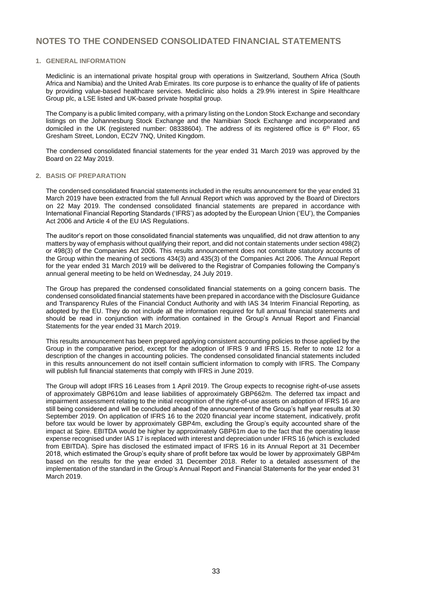#### **1. GENERAL INFORMATION**

Mediclinic is an international private hospital group with operations in Switzerland, Southern Africa (South Africa and Namibia) and the United Arab Emirates. Its core purpose is to enhance the quality of life of patients by providing value-based healthcare services. Mediclinic also holds a 29.9% interest in Spire Healthcare Group plc, a LSE listed and UK-based private hospital group.

The Company is a public limited company, with a primary listing on the London Stock Exchange and secondary listings on the Johannesburg Stock Exchange and the Namibian Stock Exchange and incorporated and domiciled in the UK (registered number: 08338604). The address of its registered office is 6<sup>th</sup> Floor, 65 Gresham Street, London, EC2V 7NQ, United Kingdom.

The condensed consolidated financial statements for the year ended 31 March 2019 was approved by the Board on 22 May 2019.

#### **2. BASIS OF PREPARATION**

The condensed consolidated financial statements included in the results announcement for the year ended 31 March 2019 have been extracted from the full Annual Report which was approved by the Board of Directors on 22 May 2019. The condensed consolidated financial statements are prepared in accordance with International Financial Reporting Standards ('IFRS') as adopted by the European Union ('EU'), the Companies Act 2006 and Article 4 of the EU IAS Regulations.

The auditor's report on those consolidated financial statements was unqualified, did not draw attention to any matters by way of emphasis without qualifying their report, and did not contain statements under section 498(2) or 498(3) of the Companies Act 2006. This results announcement does not constitute statutory accounts of the Group within the meaning of sections 434(3) and 435(3) of the Companies Act 2006. The Annual Report for the year ended 31 March 2019 will be delivered to the Registrar of Companies following the Company's annual general meeting to be held on Wednesday, 24 July 2019.

The Group has prepared the condensed consolidated financial statements on a going concern basis. The condensed consolidated financial statements have been prepared in accordance with the Disclosure Guidance and Transparency Rules of the Financial Conduct Authority and with IAS 34 Interim Financial Reporting, as adopted by the EU. They do not include all the information required for full annual financial statements and should be read in conjunction with information contained in the Group's Annual Report and Financial Statements for the year ended 31 March 2019.

This results announcement has been prepared applying consistent accounting policies to those applied by the Group in the comparative period, except for the adoption of IFRS 9 and IFRS 15. Refer to note 12 for a description of the changes in accounting policies. The condensed consolidated financial statements included in this results announcement do not itself contain sufficient information to comply with IFRS. The Company will publish full financial statements that comply with IFRS in June 2019.

The Group will adopt IFRS 16 Leases from 1 April 2019. The Group expects to recognise right-of-use assets of approximately GBP610m and lease liabilities of approximately GBP662m. The deferred tax impact and impairment assessment relating to the initial recognition of the right-of-use assets on adoption of IFRS 16 are still being considered and will be concluded ahead of the announcement of the Group's half year results at 30 September 2019. On application of IFRS 16 to the 2020 financial year income statement, indicatively, profit before tax would be lower by approximately GBP4m, excluding the Group's equity accounted share of the impact at Spire. EBITDA would be higher by approximately GBP61m due to the fact that the operating lease expense recognised under IAS 17 is replaced with interest and depreciation under IFRS 16 (which is excluded from EBITDA). Spire has disclosed the estimated impact of IFRS 16 in its Annual Report at 31 December 2018, which estimated the Group's equity share of profit before tax would be lower by approximately GBP4m based on the results for the year ended 31 December 2018. Refer to a detailed assessment of the implementation of the standard in the Group's Annual Report and Financial Statements for the year ended 31 March 2019.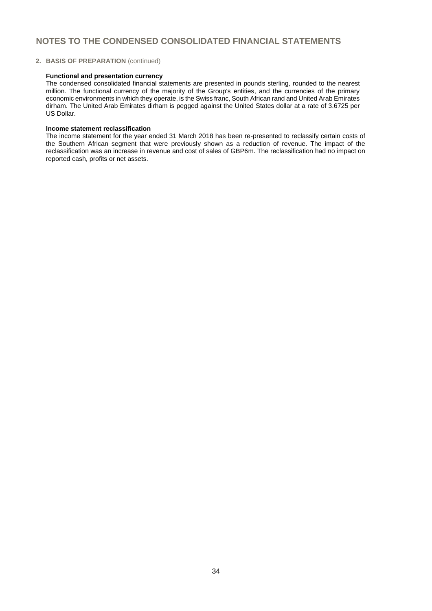#### **2. BASIS OF PREPARATION** (continued)

#### **Functional and presentation currency**

The condensed consolidated financial statements are presented in pounds sterling, rounded to the nearest million. The functional currency of the majority of the Group's entities, and the currencies of the primary economic environments in which they operate, is the Swiss franc, South African rand and United Arab Emirates dirham. The United Arab Emirates dirham is pegged against the United States dollar at a rate of 3.6725 per US Dollar.

#### **Income statement reclassification**

The income statement for the year ended 31 March 2018 has been re-presented to reclassify certain costs of the Southern African segment that were previously shown as a reduction of revenue. The impact of the reclassification was an increase in revenue and cost of sales of GBP6m. The reclassification had no impact on reported cash, profits or net assets.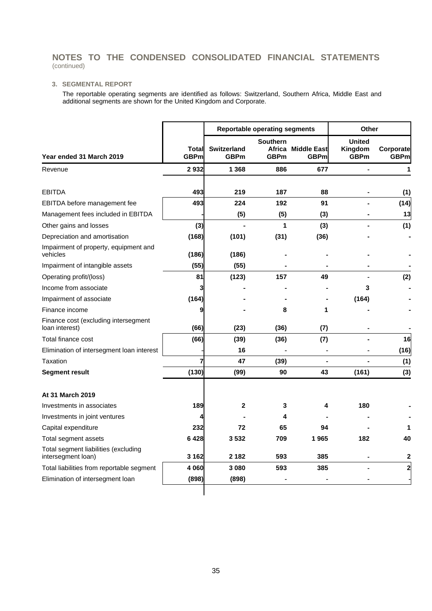### **3. SEGMENTAL REPORT**

The reportable operating segments are identified as follows: Switzerland, Southern Africa, Middle East and additional segments are shown for the United Kingdom and Corporate.

|                                                            |                      |                                   | <b>Reportable operating segments</b> |                                   | <b>Other</b>                            |                          |  |
|------------------------------------------------------------|----------------------|-----------------------------------|--------------------------------------|-----------------------------------|-----------------------------------------|--------------------------|--|
| Year ended 31 March 2019                                   | Total<br><b>GBPm</b> | <b>Switzerland</b><br><b>GBPm</b> | <b>Southern</b><br><b>GBPm</b>       | Africa Middle East<br><b>GBPm</b> | <b>United</b><br>Kingdom<br><b>GBPm</b> | Corporate<br><b>GBPm</b> |  |
| Revenue                                                    | 2932                 | 1 3 6 8                           | 886                                  | 677                               | $\blacksquare$                          | 1                        |  |
| <b>EBITDA</b>                                              | 493                  | 219                               | 187                                  | 88                                |                                         | (1)                      |  |
| EBITDA before management fee                               | 493                  | 224                               | 192                                  | 91                                |                                         | (14)                     |  |
| Management fees included in EBITDA                         |                      | (5)                               | (5)                                  | (3)                               |                                         | 13                       |  |
| Other gains and losses                                     | (3)                  |                                   | 1                                    | (3)                               |                                         | (1)                      |  |
| Depreciation and amortisation                              | (168)                | (101)                             | (31)                                 | (36)                              |                                         |                          |  |
| Impairment of property, equipment and<br>vehicles          | (186)                | (186)                             |                                      |                                   |                                         |                          |  |
| Impairment of intangible assets                            | (55)                 | (55)                              |                                      |                                   |                                         |                          |  |
| Operating profit/(loss)                                    | 81                   | (123)                             | 157                                  | 49                                |                                         | (2)                      |  |
| Income from associate                                      | 3                    |                                   |                                      |                                   | 3                                       |                          |  |
| Impairment of associate                                    | (164)                |                                   |                                      |                                   | (164)                                   |                          |  |
| Finance income                                             | 9                    |                                   | 8                                    | 1                                 |                                         |                          |  |
| Finance cost (excluding intersegment<br>loan interest)     | (66)                 | (23)                              | (36)                                 | (7)                               |                                         |                          |  |
| Total finance cost                                         | (66)                 | (39)                              | (36)                                 | (7)                               |                                         | 16                       |  |
| Elimination of intersegment loan interest                  |                      | 16                                |                                      |                                   |                                         | (16)                     |  |
| Taxation                                                   |                      | 47                                | (39)                                 |                                   |                                         | (1)                      |  |
| <b>Segment result</b>                                      | (130)                | (99)                              | 90                                   | 43                                | (161)                                   | (3)                      |  |
| At 31 March 2019                                           |                      |                                   |                                      |                                   |                                         |                          |  |
| Investments in associates                                  | 189                  | 2                                 | 3                                    | 4                                 | 180                                     |                          |  |
| Investments in joint ventures                              |                      |                                   | 4                                    |                                   |                                         |                          |  |
| Capital expenditure                                        | 232                  | 72                                | 65                                   | 94                                |                                         |                          |  |
| Total segment assets                                       | 6428                 | 3532                              | 709                                  | 1965                              | 182                                     | 40                       |  |
| Total segment liabilities (excluding<br>intersegment loan) | 3 1 6 2              | 2 1 8 2                           | 593                                  | 385                               |                                         | $\mathbf{2}$             |  |
| Total liabilities from reportable segment                  | 4 0 6 0              | 3 0 8 0                           | 593                                  | 385                               |                                         | $\overline{\mathbf{c}}$  |  |
| Elimination of intersegment loan                           | (898)                | (898)                             |                                      |                                   |                                         |                          |  |
|                                                            |                      |                                   |                                      |                                   |                                         |                          |  |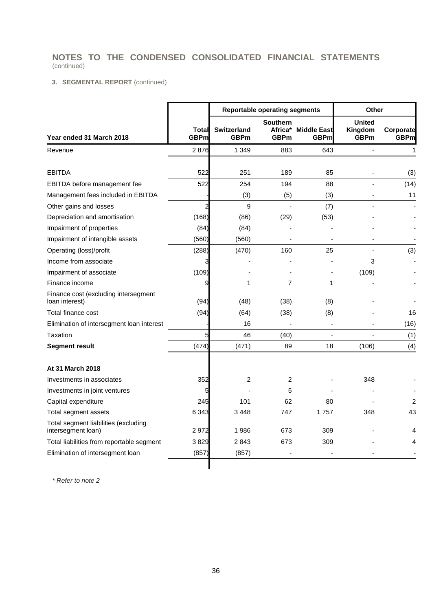### **3. SEGMENTAL REPORT** (continued)

|                                                            |                      |                                   | <b>Reportable operating segments</b>      | Other                             |                                         |                          |
|------------------------------------------------------------|----------------------|-----------------------------------|-------------------------------------------|-----------------------------------|-----------------------------------------|--------------------------|
| Year ended 31 March 2018                                   | Total<br><b>GBPm</b> | <b>Switzerland</b><br><b>GBPm</b> | <b>Southern</b><br>Africa*<br><b>GBPm</b> | <b>Middle East</b><br><b>GBPm</b> | <b>United</b><br>Kingdom<br><b>GBPm</b> | Corporate<br><b>GBPm</b> |
| Revenue                                                    | 2876                 | 1 3 4 9                           | 883                                       | 643                               | $\frac{1}{2}$                           | 1                        |
|                                                            |                      |                                   |                                           |                                   |                                         |                          |
| <b>EBITDA</b>                                              | 522                  | 251                               | 189                                       | 85                                |                                         | (3)                      |
| EBITDA before management fee                               | 522                  | 254                               | 194                                       | 88                                |                                         | (14)                     |
| Management fees included in EBITDA                         |                      | (3)                               | (5)                                       | (3)                               |                                         | 11                       |
| Other gains and losses                                     | $\overline{c}$       | 9                                 |                                           | (7)                               |                                         |                          |
| Depreciation and amortisation                              | (168)                | (86)                              | (29)                                      | (53)                              |                                         |                          |
| Impairment of properties                                   | (84)                 | (84)                              |                                           |                                   |                                         |                          |
| Impairment of intangible assets                            | (560)                | (560)                             |                                           |                                   |                                         |                          |
| Operating (loss)/profit                                    | (288)                | (470)                             | 160                                       | 25                                |                                         | (3)                      |
| Income from associate                                      | 3                    |                                   |                                           |                                   | 3                                       |                          |
| Impairment of associate                                    | (109)                |                                   |                                           |                                   | (109)                                   |                          |
| Finance income                                             | 9                    | 1                                 | 7                                         | 1                                 |                                         |                          |
| Finance cost (excluding intersegment<br>loan interest)     | (94)                 | (48)                              | (38)                                      | (8)                               |                                         |                          |
| Total finance cost                                         | (94)                 | (64)                              | (38)                                      | (8)                               |                                         | 16                       |
| Elimination of intersegment loan interest                  |                      | 16                                |                                           |                                   |                                         | (16)                     |
| Taxation                                                   | 5                    | 46                                | (40)                                      |                                   |                                         | (1)                      |
| <b>Segment result</b>                                      | (474)                | (471)                             | 89                                        | 18                                | (106)                                   | (4)                      |
| At 31 March 2018                                           |                      |                                   |                                           |                                   |                                         |                          |
| Investments in associates                                  | 352                  | 2                                 | 2                                         |                                   | 348                                     |                          |
| Investments in joint ventures                              | 5                    |                                   | 5                                         |                                   |                                         |                          |
| Capital expenditure                                        | 245                  | 101                               | 62                                        | 80                                |                                         | $\overline{2}$           |
| Total segment assets                                       | 6 3 4 3              | 3448                              | 747                                       | 1757                              | 348                                     | 43                       |
| Total segment liabilities (excluding<br>intersegment loan) | 2972                 | 1986                              | 673                                       | 309                               |                                         | 4                        |
| Total liabilities from reportable segment                  | 3829                 | 2843                              | 673                                       | 309                               |                                         | 4                        |
| Elimination of intersegment loan                           | (857)                | (857)                             |                                           |                                   |                                         |                          |
|                                                            |                      |                                   |                                           |                                   |                                         |                          |

*\* Refer to note 2*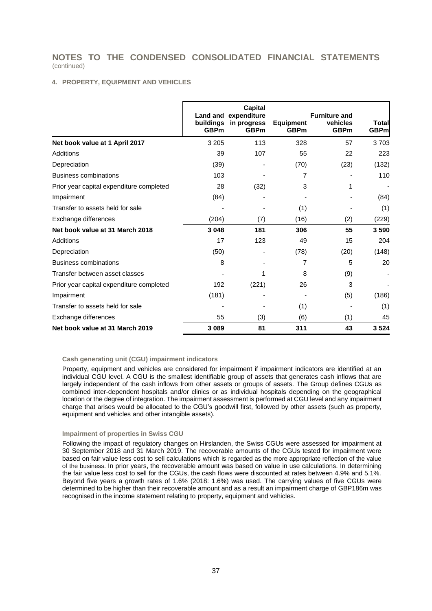#### **4. PROPERTY, EQUIPMENT AND VEHICLES**

|                                          | buildings<br><b>GBPm</b> | Capital<br>Land and expenditure<br>in progress<br><b>GBPm</b> | <b>Equipment</b><br><b>GBPm</b> | <b>Furniture and</b><br>vehicles<br><b>GBPm</b> | Total<br><b>GBPm</b> |
|------------------------------------------|--------------------------|---------------------------------------------------------------|---------------------------------|-------------------------------------------------|----------------------|
| Net book value at 1 April 2017           | 3 2 0 5                  | 113                                                           | 328                             | 57                                              | 3703                 |
| <b>Additions</b>                         | 39                       | 107                                                           | 55                              | 22                                              | 223                  |
| Depreciation                             | (39)                     |                                                               | (70)                            | (23)                                            | (132)                |
| <b>Business combinations</b>             | 103                      |                                                               | 7                               |                                                 | 110                  |
| Prior year capital expenditure completed | 28                       | (32)                                                          | 3                               | 1                                               |                      |
| Impairment                               | (84)                     |                                                               |                                 |                                                 | (84)                 |
| Transfer to assets held for sale         |                          |                                                               | (1)                             |                                                 | (1)                  |
| Exchange differences                     | (204)                    | (7)                                                           | (16)                            | (2)                                             | (229)                |
| Net book value at 31 March 2018          | 3 0 4 8                  | 181                                                           | 306                             | 55                                              | 3590                 |
| Additions                                | 17                       | 123                                                           | 49                              | 15                                              | 204                  |
| Depreciation                             | (50)                     |                                                               | (78)                            | (20)                                            | (148)                |
| <b>Business combinations</b>             | 8                        |                                                               | 7                               | 5                                               | 20                   |
| Transfer between asset classes           |                          | 1                                                             | 8                               | (9)                                             |                      |
| Prior year capital expenditure completed | 192                      | (221)                                                         | 26                              | 3                                               |                      |
| Impairment                               | (181)                    |                                                               |                                 | (5)                                             | (186)                |
| Transfer to assets held for sale         |                          |                                                               | (1)                             |                                                 | (1)                  |
| Exchange differences                     | 55                       | (3)                                                           | (6)                             | (1)                                             | 45                   |
| Net book value at 31 March 2019          | 3 0 8 9                  | 81                                                            | 311                             | 43                                              | 3524                 |

#### **Cash generating unit (CGU) impairment indicators**

Property, equipment and vehicles are considered for impairment if impairment indicators are identified at an individual CGU level. A CGU is the smallest identifiable group of assets that generates cash inflows that are largely independent of the cash inflows from other assets or groups of assets. The Group defines CGUs as combined inter-dependent hospitals and/or clinics or as individual hospitals depending on the geographical location or the degree of integration. The impairment assessment is performed at CGU level and any impairment charge that arises would be allocated to the CGU's goodwill first, followed by other assets (such as property, equipment and vehicles and other intangible assets).

#### **Impairment of properties in Swiss CGU**

Following the impact of regulatory changes on Hirslanden, the Swiss CGUs were assessed for impairment at 30 September 2018 and 31 March 2019. The recoverable amounts of the CGUs tested for impairment were based on fair value less cost to sell calculations which is regarded as the more appropriate reflection of the value of the business. In prior years, the recoverable amount was based on value in use calculations. In determining the fair value less cost to sell for the CGUs, the cash flows were discounted at rates between 4.9% and 5.1%. Beyond five years a growth rates of 1.6% (2018: 1.6%) was used. The carrying values of five CGUs were determined to be higher than their recoverable amount and as a result an impairment charge of GBP186m was recognised in the income statement relating to property, equipment and vehicles.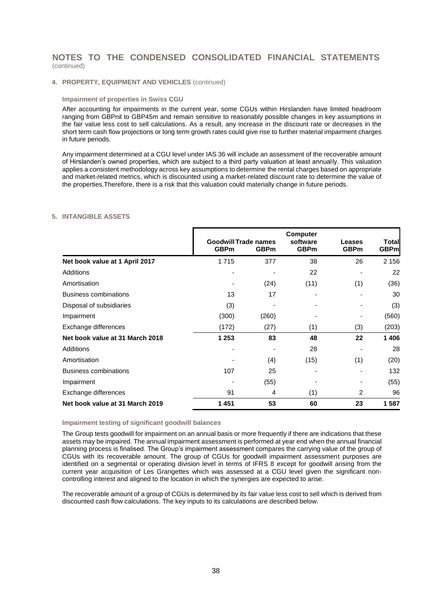#### **4. PROPERTY, EQUIPMENT AND VEHICLES** (continued)

#### **Impairment of properties in Swiss CGU**

After accounting for impairments in the current year, some CGUs within Hirslanden have limited headroom ranging from GBPnil to GBP45m and remain sensitive to reasonably possible changes in key assumptions in the fair value less cost to sell calculations. As a result, any increase in the discount rate or decreases in the short term cash flow projections or long term growth rates could give rise to further material impairment charges in future periods.

Any impairment determined at a CGU level under IAS 36 will include an assessment of the recoverable amount of Hirslanden's owned properties, which are subject to a third party valuation at least annually. This valuation applies a consistent methodology across key assumptions to determine the rental charges based on appropriate and market-related metrics, which is discounted using a market-related discount rate to determine the value of the properties.Therefore, there is a risk that this valuation could materially change in future periods.

#### **5. INTANGIBLE ASSETS**

|                                 | <b>Goodwill Trade names</b><br><b>GBPm</b> | <b>GBPm</b> | <b>Computer</b><br>software<br><b>GBPm</b> | Leases<br><b>GBPm</b> | Total<br><b>GBPm</b> |
|---------------------------------|--------------------------------------------|-------------|--------------------------------------------|-----------------------|----------------------|
| Net book value at 1 April 2017  | 1715                                       | 377         | 38                                         | 26                    | 2 1 5 6              |
| Additions                       |                                            |             | 22                                         |                       | 22                   |
| Amortisation                    |                                            | (24)        | (11)                                       | (1)                   | (36)                 |
| <b>Business combinations</b>    | 13                                         | 17          |                                            |                       | 30                   |
| Disposal of subsidiaries        | (3)                                        |             |                                            |                       | (3)                  |
| Impairment                      | (300)                                      | (260)       |                                            |                       | (560)                |
| Exchange differences            | (172)                                      | (27)        | (1)                                        | (3)                   | (203)                |
| Net book value at 31 March 2018 | 1 2 5 3                                    | 83          | 48                                         | 22                    | 1406                 |
| Additions                       |                                            |             | 28                                         |                       | 28                   |
| Amortisation                    |                                            | (4)         | (15)                                       | (1)                   | (20)                 |
| <b>Business combinations</b>    | 107                                        | 25          |                                            |                       | 132                  |
| Impairment                      |                                            | (55)        |                                            |                       | (55)                 |
| Exchange differences            | 91                                         | 4           | (1)                                        | 2                     | 96                   |
| Net book value at 31 March 2019 | 1 4 5 1                                    | 53          | 60                                         | 23                    | 1587                 |

**Impairment testing of significant goodwill balances** 

The Group tests goodwill for impairment on an annual basis or more frequently if there are indications that these assets may be impaired. The annual impairment assessment is performed at year end when the annual financial planning process is finalised. The Group's impairment assessment compares the carrying value of the group of CGUs with its recoverable amount. The group of CGUs for goodwill impairment assessment purposes are identified on a segmental or operating division level in terms of IFRS 8 except for goodwill arising from the current year acquisition of Les Grangettes which was assessed at a CGU level given the significant noncontrolling interest and aligned to the location in which the synergies are expected to arise.

The recoverable amount of a group of CGUs is determined by its fair value less cost to sell which is derived from discounted cash flow calculations. The key inputs to its calculations are described below.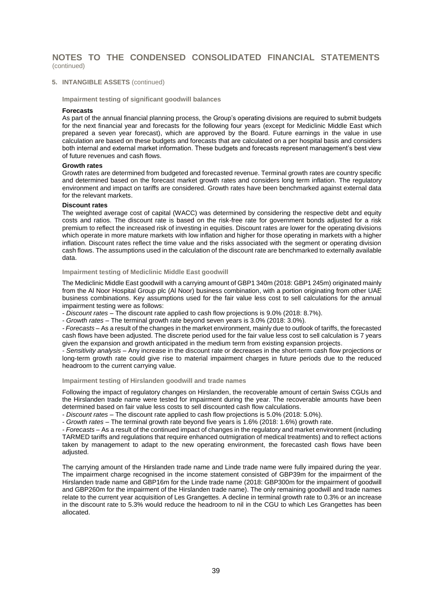**5. INTANGIBLE ASSETS** (continued)

**Impairment testing of significant goodwill balances** 

#### **Forecasts**

As part of the annual financial planning process, the Group's operating divisions are required to submit budgets for the next financial year and forecasts for the following four years (except for Mediclinic Middle East which prepared a seven year forecast), which are approved by the Board. Future earnings in the value in use calculation are based on these budgets and forecasts that are calculated on a per hospital basis and considers both internal and external market information. These budgets and forecasts represent management's best view of future revenues and cash flows.

#### **Growth rates**

Growth rates are determined from budgeted and forecasted revenue. Terminal growth rates are country specific and determined based on the forecast market growth rates and considers long term inflation. The regulatory environment and impact on tariffs are considered. Growth rates have been benchmarked against external data for the relevant markets.

#### **Discount rates**

The weighted average cost of capital (WACC) was determined by considering the respective debt and equity costs and ratios. The discount rate is based on the risk-free rate for government bonds adjusted for a risk premium to reflect the increased risk of investing in equities. Discount rates are lower for the operating divisions which operate in more mature markets with low inflation and higher for those operating in markets with a higher inflation. Discount rates reflect the time value and the risks associated with the segment or operating division cash flows. The assumptions used in the calculation of the discount rate are benchmarked to externally available data.

**Impairment testing of Mediclinic Middle East goodwill**

The Mediclinic Middle East goodwill with a carrying amount of GBP1 340m (2018: GBP1 245m) originated mainly from the Al Noor Hospital Group plc (Al Noor) business combination, with a portion originating from other UAE business combinations. Key assumptions used for the fair value less cost to sell calculations for the annual impairment testing were as follows:

*- Discount rates* – The discount rate applied to cash flow projections is 9.0% (2018: 8.7%).

*- Growth rates* – The terminal growth rate beyond seven years is 3.0% (2018: 3.0%).

*- Forecasts* – As a result of the changes in the market environment, mainly due to outlook of tariffs, the forecasted cash flows have been adjusted. The discrete period used for the fair value less cost to sell calculation is 7 years given the expansion and growth anticipated in the medium term from existing expansion projects.

*- Sensitivity analysis* – Any increase in the discount rate or decreases in the short-term cash flow projections or long-term growth rate could give rise to material impairment charges in future periods due to the reduced headroom to the current carrying value.

#### **Impairment testing of Hirslanden goodwill and trade names**

Following the impact of regulatory changes on Hirslanden, the recoverable amount of certain Swiss CGUs and the Hirslanden trade name were tested for impairment during the year. The recoverable amounts have been determined based on fair value less costs to sell discounted cash flow calculations.

*- Discount rates* – The discount rate applied to cash flow projections is 5.0% (2018: 5.0%).

*- Growth rates* – The terminal growth rate beyond five years is 1.6% (2018: 1.6%) growth rate.

*- Forecasts* – As a result of the continued impact of changes in the regulatory and market environment (including TARMED tariffs and regulations that require enhanced outmigration of medical treatments) and to reflect actions taken by management to adapt to the new operating environment, the forecasted cash flows have been adjusted.

The carrying amount of the Hirslanden trade name and Linde trade name were fully impaired during the year. The impairment charge recognised in the income statement consisted of GBP39m for the impairment of the Hirslanden trade name and GBP16m for the Linde trade name (2018: GBP300m for the impairment of goodwill and GBP260m for the impairment of the Hirslanden trade name). The only remaining goodwill and trade names relate to the current year acquisition of Les Grangettes. A decline in terminal growth rate to 0.3% or an increase in the discount rate to 5.3% would reduce the headroom to nil in the CGU to which Les Grangettes has been allocated.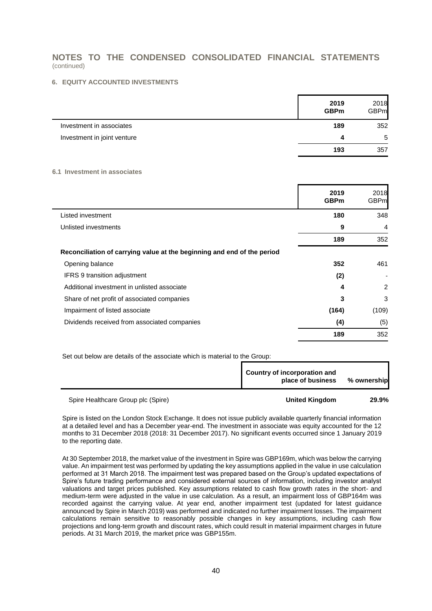#### **6. EQUITY ACCOUNTED INVESTMENTS**

|                             | 2019<br><b>GBPm</b> | 2018<br><b>GBPm</b> |
|-----------------------------|---------------------|---------------------|
| Investment in associates    | 189                 | 352                 |
| Investment in joint venture | Δ                   | 5                   |
|                             | 193                 | 357                 |

#### **6.1 Investment in associates**

|                                                                         | 2019<br><b>GBPm</b> | 2018<br>GBPm   |
|-------------------------------------------------------------------------|---------------------|----------------|
| Listed investment                                                       | 180                 | 348            |
| Unlisted investments                                                    | 9                   | $\overline{4}$ |
|                                                                         | 189                 | 352            |
| Reconciliation of carrying value at the beginning and end of the period |                     |                |
| Opening balance                                                         | 352                 | 461            |
| <b>IFRS 9 transition adjustment</b>                                     | (2)                 |                |
| Additional investment in unlisted associate                             | 4                   | 2              |
| Share of net profit of associated companies                             | 3                   | 3              |
| Impairment of listed associate                                          | (164)               | (109)          |
| Dividends received from associated companies                            | (4)                 | (5)            |
|                                                                         | 189                 | 352            |

Set out below are details of the associate which is material to the Group:

| Country of incorporation and<br>place of business % ownership |  |
|---------------------------------------------------------------|--|
|                                                               |  |

Spire Healthcare Group plc (Spire) **United Kingdom 29.9%**

Spire is listed on the London Stock Exchange. It does not issue publicly available quarterly financial information at a detailed level and has a December year-end. The investment in associate was equity accounted for the 12 months to 31 December 2018 (2018: 31 December 2017). No significant events occurred since 1 January 2019 to the reporting date.

At 30 September 2018, the market value of the investment in Spire was GBP169m, which was below the carrying value. An impairment test was performed by updating the key assumptions applied in the value in use calculation performed at 31 March 2018. The impairment test was prepared based on the Group's updated expectations of Spire's future trading performance and considered external sources of information, including investor analyst valuations and target prices published. Key assumptions related to cash flow growth rates in the short- and medium-term were adjusted in the value in use calculation. As a result, an impairment loss of GBP164m was recorded against the carrying value. At year end, another impairment test (updated for latest guidance announced by Spire in March 2019) was performed and indicated no further impairment losses. The impairment calculations remain sensitive to reasonably possible changes in key assumptions, including cash flow projections and long-term growth and discount rates, which could result in material impairment charges in future periods. At 31 March 2019, the market price was GBP155m.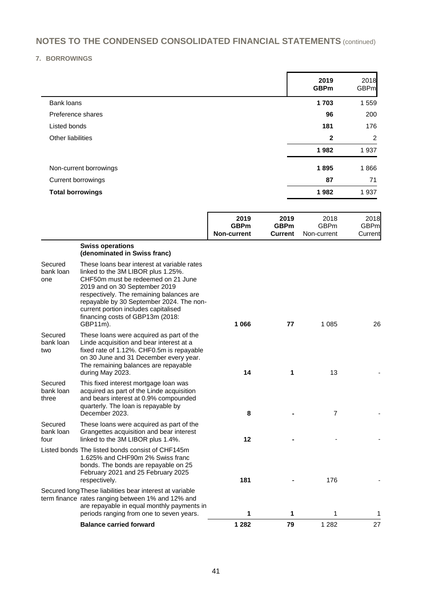### **7. BORROWINGS**

|                         | 2019<br><b>GBPm</b> | 2018<br><b>GBPm</b> |
|-------------------------|---------------------|---------------------|
| Bank loans              | 1703                | 1559                |
| Preference shares       | 96                  | 200                 |
| Listed bonds            | 181                 | 176                 |
| Other liabilities       | $\mathbf{2}$        | 2                   |
|                         | 1982                | 1937                |
| Non-current borrowings  | 1895                | 1866                |
| Current borrowings      | 87                  | 71                  |
| <b>Total borrowings</b> | 1982                | 1937                |

|                               |                                                                                                                                                                                                                                                                                                                                          | 2019<br><b>GBPm</b><br><b>Non-current</b> | 2019<br><b>GBPm</b><br><b>Current</b> | 2018<br><b>GBPm</b><br>Non-current | 2018<br><b>GBPm</b><br>Current |
|-------------------------------|------------------------------------------------------------------------------------------------------------------------------------------------------------------------------------------------------------------------------------------------------------------------------------------------------------------------------------------|-------------------------------------------|---------------------------------------|------------------------------------|--------------------------------|
|                               | <b>Swiss operations</b><br>(denominated in Swiss franc)                                                                                                                                                                                                                                                                                  |                                           |                                       |                                    |                                |
| Secured<br>bank loan<br>one   | These loans bear interest at variable rates<br>linked to the 3M LIBOR plus 1.25%.<br>CHF50m must be redeemed on 21 June<br>2019 and on 30 September 2019<br>respectively. The remaining balances are<br>repayable by 30 September 2024. The non-<br>current portion includes capitalised<br>financing costs of GBP13m (2018:<br>GBP11m). | 1 0 6 6                                   | 77                                    | 1 0 8 5                            | 26                             |
| Secured<br>bank loan<br>two   | These loans were acquired as part of the<br>Linde acquisition and bear interest at a<br>fixed rate of 1.12%. CHF0.5m is repayable<br>on 30 June and 31 December every year.<br>The remaining balances are repayable<br>during May 2023.                                                                                                  | 14                                        | 1                                     | 13                                 |                                |
| Secured<br>bank loan<br>three | This fixed interest mortgage loan was<br>acquired as part of the Linde acquisition<br>and bears interest at 0.9% compounded<br>quarterly. The loan is repayable by<br>December 2023.                                                                                                                                                     | 8                                         |                                       | $\overline{7}$                     |                                |
| Secured<br>bank loan<br>four  | These loans were acquired as part of the<br>Grangettes acquisition and bear interest<br>linked to the 3M LIBOR plus 1.4%.                                                                                                                                                                                                                | 12                                        |                                       |                                    |                                |
|                               | Listed bonds The listed bonds consist of CHF145m<br>1.625% and CHF90m 2% Swiss franc<br>bonds. The bonds are repayable on 25<br>February 2021 and 25 February 2025<br>respectively.                                                                                                                                                      | 181                                       |                                       | 176                                |                                |
|                               | Secured long These liabilities bear interest at variable<br>term finance rates ranging between 1% and 12% and<br>are repayable in equal monthly payments in<br>periods ranging from one to seven years.                                                                                                                                  | 1                                         | 1                                     | 1                                  | 1                              |
|                               | <b>Balance carried forward</b>                                                                                                                                                                                                                                                                                                           | 1 2 8 2                                   | 79                                    | 1 2 8 2                            | 27                             |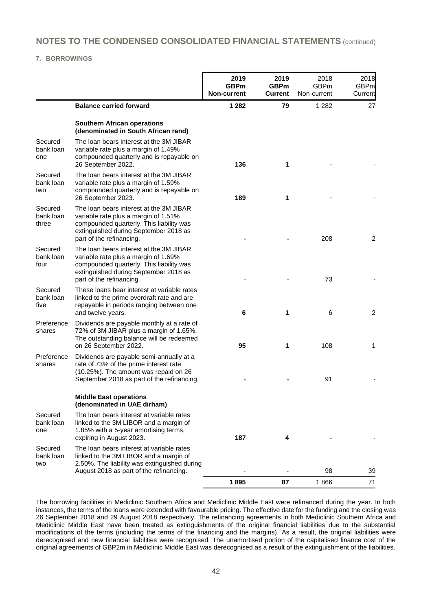#### **7. BORROWINGS**

|                               |                                                                                                                                                                                                  | 2019<br><b>GBPm</b><br><b>Non-current</b> | 2019<br><b>GBPm</b><br><b>Current</b> | 2018<br><b>GBPm</b><br>Non-current | 2018<br><b>GBPm</b><br>Current |
|-------------------------------|--------------------------------------------------------------------------------------------------------------------------------------------------------------------------------------------------|-------------------------------------------|---------------------------------------|------------------------------------|--------------------------------|
|                               | <b>Balance carried forward</b>                                                                                                                                                                   | 1 2 8 2                                   | 79                                    | 1 2 8 2                            | 27                             |
|                               | <b>Southern African operations</b><br>(denominated in South African rand)                                                                                                                        |                                           |                                       |                                    |                                |
| Secured<br>bank loan<br>one   | The loan bears interest at the 3M JIBAR<br>variable rate plus a margin of 1.49%<br>compounded quarterly and is repayable on<br>26 September 2022.                                                | 136                                       | 1                                     |                                    |                                |
| Secured<br>bank loan<br>two   | The loan bears interest at the 3M JIBAR<br>variable rate plus a margin of 1.59%<br>compounded quarterly and is repayable on<br>26 September 2023.                                                | 189                                       | 1                                     |                                    |                                |
| Secured<br>bank loan<br>three | The loan bears interest at the 3M JIBAR<br>variable rate plus a margin of 1.51%<br>compounded quarterly. This liability was<br>extinguished during September 2018 as<br>part of the refinancing. |                                           |                                       | 208                                | 2                              |
| Secured<br>bank loan<br>four  | The loan bears interest at the 3M JIBAR<br>variable rate plus a margin of 1.69%<br>compounded quarterly. This liability was<br>extinguished during September 2018 as<br>part of the refinancing. |                                           |                                       | 73                                 |                                |
| Secured<br>bank loan<br>five  | These loans bear interest at variable rates<br>linked to the prime overdraft rate and are<br>repayable in periods ranging between one<br>and twelve years.                                       | 6                                         | 1                                     | 6                                  | 2                              |
| Preference<br>shares          | Dividends are payable monthly at a rate of<br>72% of 3M JIBAR plus a margin of 1.65%.<br>The outstanding balance will be redeemed<br>on 26 September 2022.                                       | 95                                        | 1                                     | 108                                | 1                              |
| Preference<br>shares          | Dividends are payable semi-annually at a<br>rate of 73% of the prime interest rate<br>(10.25%). The amount was repaid on 26<br>September 2018 as part of the refinancing.                        |                                           |                                       | 91                                 |                                |
|                               | <b>Middle East operations</b><br>(denominated in UAE dirham)                                                                                                                                     |                                           |                                       |                                    |                                |
| Secured<br>bank loan<br>one   | The loan bears interest at variable rates<br>linked to the 3M LIBOR and a margin of<br>1.85% with a 5-year amortising terms,<br>expiring in August 2023.                                         | 187                                       | 4                                     |                                    |                                |
| Secured<br>bank loan<br>two   | The loan bears interest at variable rates<br>linked to the 3M LIBOR and a margin of<br>2.50%. The liability was extinguished during<br>August 2018 as part of the refinancing.                   |                                           |                                       | 98                                 | 39                             |
|                               |                                                                                                                                                                                                  | 1895                                      | 87                                    | 1866                               | 71                             |

The borrowing facilities in Mediclinic Southern Africa and Mediclinic Middle East were refinanced during the year. In both instances, the terms of the loans were extended with favourable pricing. The effective date for the funding and the closing was 26 September 2018 and 29 August 2018 respectively. The refinancing agreements in both Mediclinic Southern Africa and Mediclinic Middle East have been treated as extinguishments of the original financial liabilities due to the substantial modifications of the terms (including the terms of the financing and the margins). As a result, the original liabilities were derecognised and new financial liabilities were recognised. The unamortised portion of the capitalised finance cost of the original agreements of GBP2m in Mediclinic Middle East was derecognised as a result of the extinguishment of the liabilities.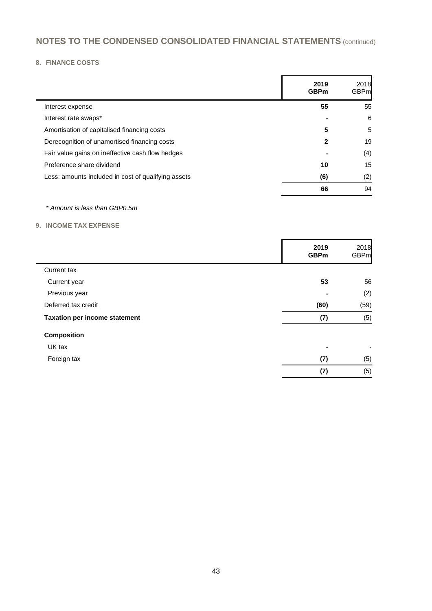### **8. FINANCE COSTS**

|                                                     | 2019<br><b>GBPm</b> | 2018<br>GBPml         |
|-----------------------------------------------------|---------------------|-----------------------|
| Interest expense                                    | 55                  | 55                    |
| Interest rate swaps*                                |                     | 6                     |
| Amortisation of capitalised financing costs         | 5                   | 5                     |
| Derecognition of unamortised financing costs        | 2                   | 19                    |
| Fair value gains on ineffective cash flow hedges    |                     | (4)<br>$\blacksquare$ |
| Preference share dividend                           | 10                  | 15                    |
| Less: amounts included in cost of qualifying assets | (6)                 | (2)                   |
|                                                     | 66                  | 94                    |

### *\* Amount is less than GBP0.5m*

### **9. INCOME TAX EXPENSE**

|                                      | 2019<br><b>GBPm</b> | 2018<br><b>GBPm</b> |
|--------------------------------------|---------------------|---------------------|
| Current tax                          |                     |                     |
| Current year                         | 53                  | 56                  |
| Previous year                        | $\blacksquare$      | (2)                 |
| Deferred tax credit                  | (60)                | (59)                |
| <b>Taxation per income statement</b> | (7)                 | (5)                 |
| <b>Composition</b>                   |                     |                     |
| UK tax                               | $\blacksquare$      | -                   |
| Foreign tax                          | (7)                 | (5)                 |
|                                      | (7)                 | (5)                 |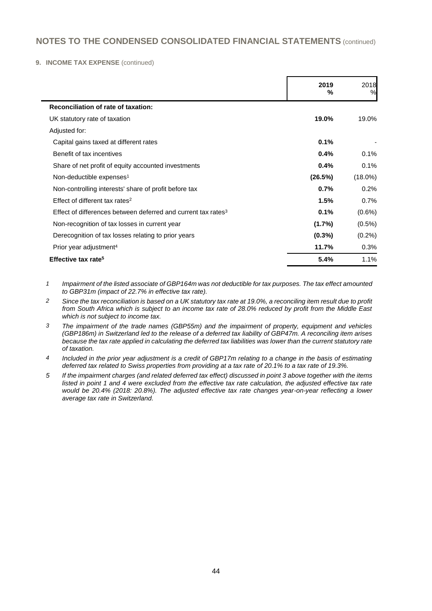#### **9. INCOME TAX EXPENSE** (continued)

|                                                                           | 2019<br>% | 2018<br>%  |
|---------------------------------------------------------------------------|-----------|------------|
| Reconciliation of rate of taxation:                                       |           |            |
| UK statutory rate of taxation                                             | 19.0%     | 19.0%      |
| Adjusted for:                                                             |           |            |
| Capital gains taxed at different rates                                    | 0.1%      |            |
| Benefit of tax incentives                                                 | $0.4\%$   | 0.1%       |
| Share of net profit of equity accounted investments                       | $0.4\%$   | 0.1%       |
| Non-deductible expenses <sup>1</sup>                                      | (26.5%)   | $(18.0\%)$ |
| Non-controlling interests' share of profit before tax                     | 0.7%      | 0.2%       |
| Effect of different tax rates <sup>2</sup>                                | 1.5%      | 0.7%       |
| Effect of differences between deferred and current tax rates <sup>3</sup> | 0.1%      | $(0.6\%)$  |
| Non-recognition of tax losses in current year                             | $(1.7\%)$ | $(0.5\%)$  |
| Derecognition of tax losses relating to prior years                       | $(0.3\%)$ | $(0.2\%)$  |
| Prior year adjustment <sup>4</sup>                                        | 11.7%     | 0.3%       |
| Effective tax rate <sup>5</sup>                                           | 5.4%      | 1.1%       |

*1 Impairment of the listed associate of GBP164m was not deductible for tax purposes. The tax effect amounted to GBP31m (impact of 22.7% in effective tax rate).*

- *2 Since the tax reconciliation is based on a UK statutory tax rate at 19.0%, a reconciling item result due to profit from South Africa which is subject to an income tax rate of 28.0% reduced by profit from the Middle East which is not subject to income tax.*
- *3 The impairment of the trade names (GBP55m) and the impairment of property, equipment and vehicles (GBP186m) in Switzerland led to the release of a deferred tax liability of GBP47m. A reconciling item arises because the tax rate applied in calculating the deferred tax liabilities was lower than the current statutory rate of taxation.*
- *4 Included in the prior year adjustment is a credit of GBP17m relating to a change in the basis of estimating deferred tax related to Swiss properties from providing at a tax rate of 20.1% to a tax rate of 19.3%.*
- *5 If the impairment charges (and related deferred tax effect) discussed in point 3 above together with the items listed in point 1 and 4 were excluded from the effective tax rate calculation, the adjusted effective tax rate would be 20.4% (2018: 20.8%). The adjusted effective tax rate changes year-on-year reflecting a lower average tax rate in Switzerland.*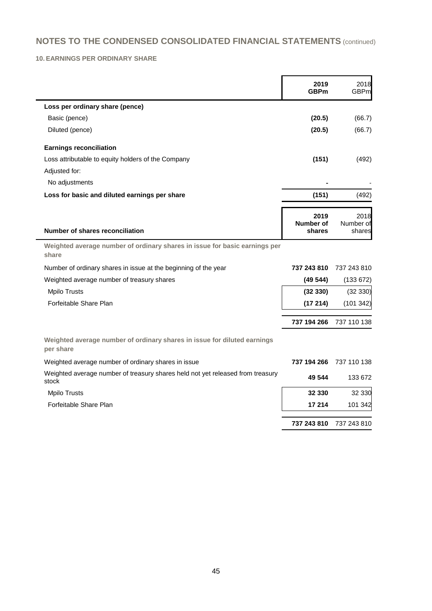### **10. EARNINGS PER ORDINARY SHARE**

|                                                                                         | 2019<br><b>GBPm</b>         | 2018<br><b>GBPm</b>         |
|-----------------------------------------------------------------------------------------|-----------------------------|-----------------------------|
| Loss per ordinary share (pence)                                                         |                             |                             |
| Basic (pence)                                                                           | (20.5)                      | (66.7)                      |
| Diluted (pence)                                                                         | (20.5)                      | (66.7)                      |
| <b>Earnings reconciliation</b>                                                          |                             |                             |
| Loss attributable to equity holders of the Company                                      | (151)                       | (492)                       |
| Adjusted for:                                                                           |                             |                             |
| No adjustments                                                                          |                             |                             |
| Loss for basic and diluted earnings per share                                           | (151)                       | (492)                       |
| Number of shares reconciliation                                                         | 2019<br>Number of<br>shares | 2018<br>Number of<br>shares |
| Weighted average number of ordinary shares in issue for basic earnings per<br>share     |                             |                             |
| Number of ordinary shares in issue at the beginning of the year                         | 737 243 810                 | 737 243 810                 |
| Weighted average number of treasury shares                                              | (49544)                     | (133 672)                   |
| <b>Mpilo Trusts</b>                                                                     | (32330)                     | (32 330)                    |
| Forfeitable Share Plan                                                                  | (17214)                     | (101 342)                   |
|                                                                                         | 737 194 266                 | 737 110 138                 |
| Weighted average number of ordinary shares in issue for diluted earnings<br>per share   |                             |                             |
| Weighted average number of ordinary shares in issue                                     | 737 194 266                 | 737 110 138                 |
| Weighted average number of treasury shares held not yet released from treasury<br>stock | 49 544                      | 133 672                     |
| <b>Mpilo Trusts</b>                                                                     | 32 330                      | 32 330                      |
| Forfeitable Share Plan                                                                  | 17 214                      | 101 342                     |
|                                                                                         | 737 243 810                 | 737 243 810                 |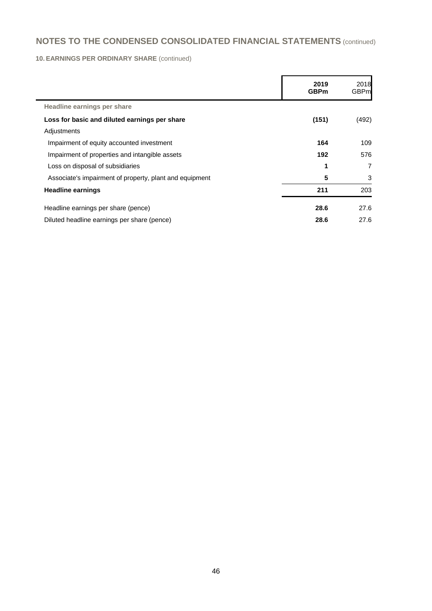### **10. EARNINGS PER ORDINARY SHARE** (continued)

|                                                         | 2019<br><b>GBPm</b> | 2018<br><b>GBPm</b> |
|---------------------------------------------------------|---------------------|---------------------|
| Headline earnings per share                             |                     |                     |
| Loss for basic and diluted earnings per share           | (151)               | (492)               |
| Adjustments                                             |                     |                     |
| Impairment of equity accounted investment               | 164                 | 109                 |
| Impairment of properties and intangible assets          | 192                 | 576                 |
| Loss on disposal of subsidiaries                        | 1                   | $\overline{7}$      |
| Associate's impairment of property, plant and equipment | 5                   | 3                   |
| <b>Headline earnings</b>                                | 211                 | 203                 |
| Headline earnings per share (pence)                     | 28.6                | 27.6                |
| Diluted headline earnings per share (pence)             | 28.6                | 27.6                |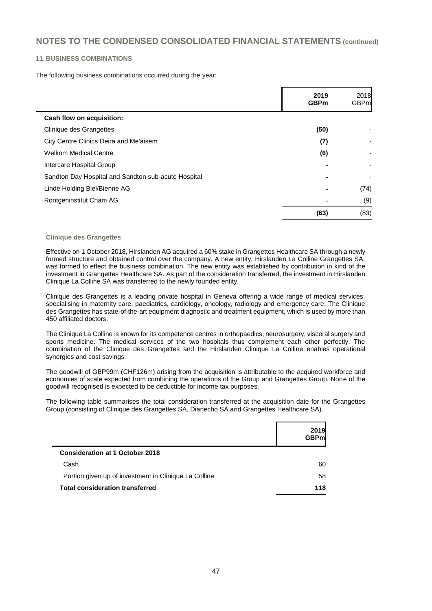#### **11. BUSINESS COMBINATIONS**

The following business combinations occurred during the year:

|                                                     | 2019<br><b>GBPm</b> | 2018<br><b>GBPm</b> |
|-----------------------------------------------------|---------------------|---------------------|
| Cash flow on acquisition:                           |                     |                     |
| Clinique des Grangettes                             | (50)                |                     |
| City Centre Clinics Deira and Me'aisem              | (7)                 |                     |
| <b>Welkom Medical Centre</b>                        | (6)                 |                     |
| Intercare Hospital Group                            |                     |                     |
| Sandton Day Hospital and Sandton sub-acute Hospital | $\blacksquare$      |                     |
| Linde Holding Biel/Bienne AG                        |                     | (74)                |
| Rontgeninstitut Cham AG                             |                     | (9)                 |
|                                                     | (63)                | (83)                |

#### **Clinique des Grangettes**

Effective on 1 October 2018, Hirslanden AG acquired a 60% stake in Grangettes Healthcare SA through a newly formed structure and obtained control over the company. A new entity, Hirslanden La Colline Grangettes SA, was formed to effect the business combination. The new entity was established by contribution in kind of the investment in Grangettes Healthcare SA. As part of the consideration transferred, the investment in Hirslanden Clinique La Colline SA was transferred to the newly founded entity.

Clinique des Grangettes is a leading private hospital in Geneva offering a wide range of medical services, specialising in maternity care, paediatrics, cardiology, oncology, radiology and emergency care. The Clinique des Grangettes has state-of-the-art equipment diagnostic and treatment equipment, which is used by more than 450 affiliated doctors.

The Clinique La Colline is known for its competence centres in orthopaedics, neurosurgery, visceral surgery and sports medicine. The medical services of the two hospitals thus complement each other perfectly. The combination of the Clinique des Grangettes and the Hirslanden Clinique La Colline enables operational synergies and cost savings.

The goodwill of GBP99m (CHF126m) arising from the acquisition is attributable to the acquired workforce and economies of scale expected from combining the operations of the Group and Grangettes Group. None of the goodwill recognised is expected to be deductible for income tax purposes.

The following table summarises the total consideration transferred at the acquisition date for the Grangettes Group (consisting of Clinique des Grangettes SA, Dianecho SA and Grangettes Healthcare SA).

|                                                       | <b>2019</b><br><b>GBPml</b> |
|-------------------------------------------------------|-----------------------------|
| <b>Consideration at 1 October 2018</b>                |                             |
| Cash                                                  | 60                          |
| Portion given up of investment in Clinique La Colline | 58                          |
| <b>Total consideration transferred</b>                | 118                         |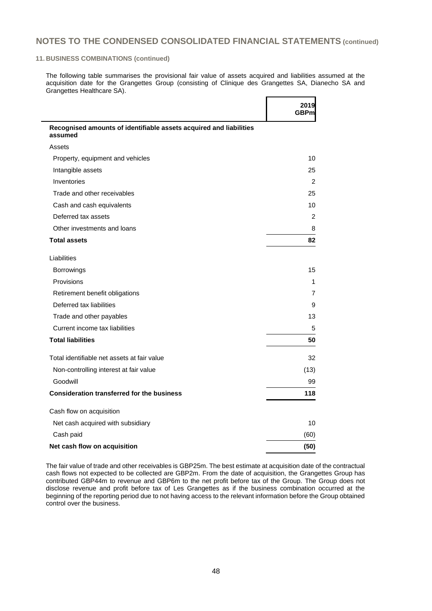#### **11. BUSINESS COMBINATIONS (continued)**

j.

The following table summarises the provisional fair value of assets acquired and liabilities assumed at the acquisition date for the Grangettes Group (consisting of Clinique des Grangettes SA, Dianecho SA and Grangettes Healthcare SA).

Г

 $\overline{\phantom{0}}$ 

|                                                                               | 2019<br><b>GBPm</b> |
|-------------------------------------------------------------------------------|---------------------|
| Recognised amounts of identifiable assets acquired and liabilities<br>assumed |                     |
| Assets                                                                        |                     |
| Property, equipment and vehicles                                              | 10                  |
| Intangible assets                                                             | 25                  |
| Inventories                                                                   | 2                   |
| Trade and other receivables                                                   | 25                  |
| Cash and cash equivalents                                                     | 10                  |
| Deferred tax assets                                                           | 2                   |
| Other investments and loans                                                   | 8                   |
| <b>Total assets</b>                                                           | 82                  |
| Liabilities                                                                   |                     |
| <b>Borrowings</b>                                                             | 15                  |
| Provisions                                                                    | 1                   |
| Retirement benefit obligations                                                | 7                   |
| Deferred tax liabilities                                                      | 9                   |
| Trade and other payables                                                      | 13                  |
| Current income tax liabilities                                                | 5                   |
| <b>Total liabilities</b>                                                      | 50                  |
| Total identifiable net assets at fair value                                   | 32                  |
| Non-controlling interest at fair value                                        | (13)                |
| Goodwill                                                                      | 99                  |
| <b>Consideration transferred for the business</b>                             | 118                 |
| Cash flow on acquisition                                                      |                     |
| Net cash acquired with subsidiary                                             | 10                  |
| Cash paid                                                                     | (60)                |
| Net cash flow on acquisition                                                  | (50)                |

The fair value of trade and other receivables is GBP25m. The best estimate at acquisition date of the contractual cash flows not expected to be collected are GBP2m. From the date of acquisition, the Grangettes Group has contributed GBP44m to revenue and GBP6m to the net profit before tax of the Group. The Group does not disclose revenue and profit before tax of Les Grangettes as if the business combination occurred at the beginning of the reporting period due to not having access to the relevant information before the Group obtained control over the business.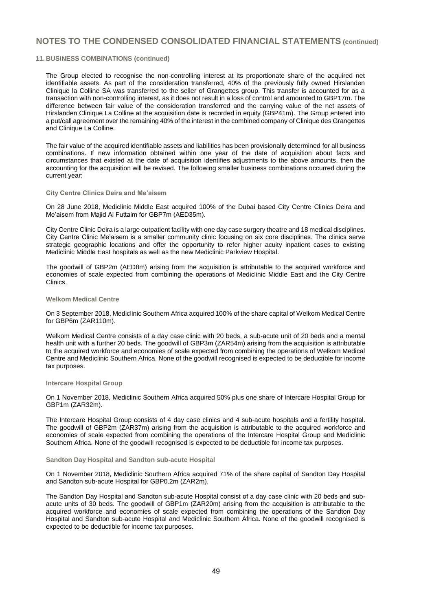#### **11. BUSINESS COMBINATIONS (continued)**

The Group elected to recognise the non-controlling interest at its proportionate share of the acquired net identifiable assets. As part of the consideration transferred, 40% of the previously fully owned Hirslanden Clinique la Colline SA was transferred to the seller of Grangettes group. This transfer is accounted for as a transaction with non-controlling interest, as it does not result in a loss of control and amounted to GBP17m. The difference between fair value of the consideration transferred and the carrying value of the net assets of Hirslanden Clinique La Colline at the acquisition date is recorded in equity (GBP41m). The Group entered into a put/call agreement over the remaining 40% of the interest in the combined company of Clinique des Grangettes and Clinique La Colline.

The fair value of the acquired identifiable assets and liabilities has been provisionally determined for all business combinations. If new information obtained within one year of the date of acquisition about facts and circumstances that existed at the date of acquisition identifies adjustments to the above amounts, then the accounting for the acquisition will be revised. The following smaller business combinations occurred during the current year:

#### **City Centre Clinics Deira and Me'aisem**

On 28 June 2018, Mediclinic Middle East acquired 100% of the Dubai based City Centre Clinics Deira and Me'aisem from Majid Al Futtaim for GBP7m (AED35m).

City Centre Clinic Deira is a large outpatient facility with one day case surgery theatre and 18 medical disciplines. City Centre Clinic Me'aisem is a smaller community clinic focusing on six core disciplines. The clinics serve strategic geographic locations and offer the opportunity to refer higher acuity inpatient cases to existing Mediclinic Middle East hospitals as well as the new Mediclinic Parkview Hospital.

The goodwill of GBP2m (AED8m) arising from the acquisition is attributable to the acquired workforce and economies of scale expected from combining the operations of Mediclinic Middle East and the City Centre Clinics.

#### **Welkom Medical Centre**

On 3 September 2018, Mediclinic Southern Africa acquired 100% of the share capital of Welkom Medical Centre for GBP6m (ZAR110m).

Welkom Medical Centre consists of a day case clinic with 20 beds, a sub-acute unit of 20 beds and a mental health unit with a further 20 beds. The goodwill of GBP3m (ZAR54m) arising from the acquisition is attributable to the acquired workforce and economies of scale expected from combining the operations of Welkom Medical Centre and Mediclinic Southern Africa. None of the goodwill recognised is expected to be deductible for income tax purposes.

#### **Intercare Hospital Group**

On 1 November 2018, Mediclinic Southern Africa acquired 50% plus one share of Intercare Hospital Group for GBP1m (ZAR32m).

The Intercare Hospital Group consists of 4 day case clinics and 4 sub-acute hospitals and a fertility hospital. The goodwill of GBP2m (ZAR37m) arising from the acquisition is attributable to the acquired workforce and economies of scale expected from combining the operations of the Intercare Hospital Group and Mediclinic Southern Africa. None of the goodwill recognised is expected to be deductible for income tax purposes.

#### **Sandton Day Hospital and Sandton sub-acute Hospital**

On 1 November 2018, Mediclinic Southern Africa acquired 71% of the share capital of Sandton Day Hospital and Sandton sub-acute Hospital for GBP0.2m (ZAR2m).

The Sandton Day Hospital and Sandton sub-acute Hospital consist of a day case clinic with 20 beds and subacute units of 30 beds. The goodwill of GBP1m (ZAR20m) arising from the acquisition is attributable to the acquired workforce and economies of scale expected from combining the operations of the Sandton Day Hospital and Sandton sub-acute Hospital and Mediclinic Southern Africa. None of the goodwill recognised is expected to be deductible for income tax purposes.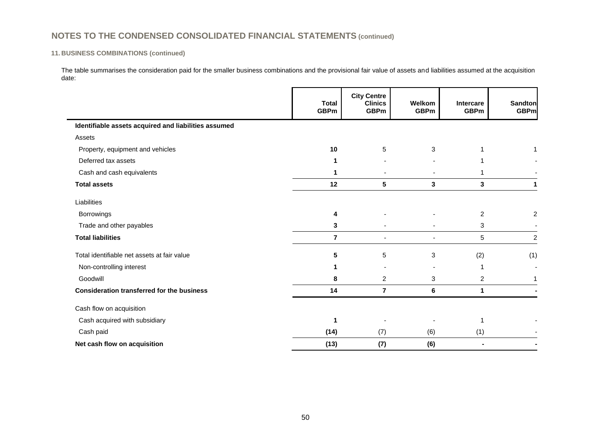### **11. BUSINESS COMBINATIONS (continued)**

The table summarises the consideration paid for the smaller business combinations and the provisional fair value of assets and liabilities assumed at the acquisition date:

|                                                      | <b>Total</b><br><b>GBPm</b> | <b>City Centre</b><br><b>Clinics</b><br><b>GBPm</b> | Welkom<br><b>GBPm</b> | <b>Intercare</b><br><b>GBPm</b> | <b>Sandton</b><br><b>GBPm</b> |
|------------------------------------------------------|-----------------------------|-----------------------------------------------------|-----------------------|---------------------------------|-------------------------------|
| Identifiable assets acquired and liabilities assumed |                             |                                                     |                       |                                 |                               |
| Assets                                               |                             |                                                     |                       |                                 |                               |
| Property, equipment and vehicles                     | 10                          | 5                                                   | 3                     |                                 |                               |
| Deferred tax assets                                  | 1                           |                                                     |                       |                                 |                               |
| Cash and cash equivalents                            | 1                           |                                                     |                       |                                 |                               |
| <b>Total assets</b>                                  | 12                          | 5                                                   | 3                     | 3                               | 1                             |
| Liabilities                                          |                             |                                                     |                       |                                 |                               |
| Borrowings                                           | 4                           |                                                     |                       | $\overline{c}$                  | 2                             |
| Trade and other payables                             | 3                           |                                                     |                       | 3                               |                               |
| <b>Total liabilities</b>                             | $\overline{7}$              | $\overline{\phantom{0}}$                            |                       | 5                               | 2                             |
| Total identifiable net assets at fair value          | 5                           | 5                                                   | 3                     | (2)                             | (1)                           |
| Non-controlling interest                             | 1                           |                                                     |                       |                                 |                               |
| Goodwill                                             | 8                           | $\overline{2}$                                      | 3                     | $\overline{2}$                  |                               |
| <b>Consideration transferred for the business</b>    | 14                          | $\overline{7}$                                      | 6                     | 1                               |                               |
| Cash flow on acquisition                             |                             |                                                     |                       |                                 |                               |
| Cash acquired with subsidiary                        | 1                           |                                                     |                       | 1                               |                               |
| Cash paid                                            | (14)                        | (7)                                                 | (6)                   | (1)                             |                               |
| Net cash flow on acquisition                         | (13)                        | (7)                                                 | (6)                   |                                 |                               |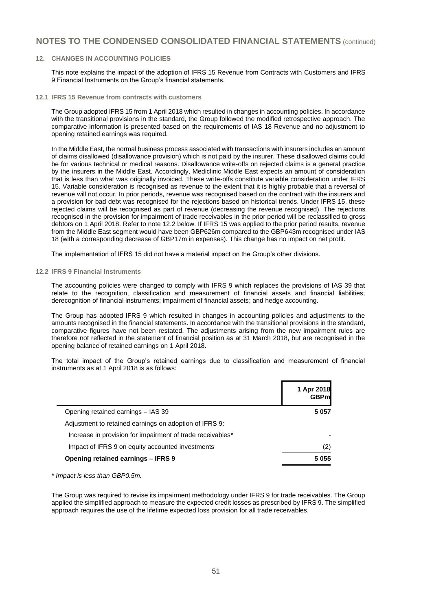#### **12. CHANGES IN ACCOUNTING POLICIES**

This note explains the impact of the adoption of IFRS 15 Revenue from Contracts with Customers and IFRS 9 Financial Instruments on the Group's financial statements.

**12.1 IFRS 15 Revenue from contracts with customers**

The Group adopted IFRS 15 from 1 April 2018 which resulted in changes in accounting policies. In accordance with the transitional provisions in the standard, the Group followed the modified retrospective approach. The comparative information is presented based on the requirements of IAS 18 Revenue and no adjustment to opening retained earnings was required.

In the Middle East, the normal business process associated with transactions with insurers includes an amount of claims disallowed (disallowance provision) which is not paid by the insurer. These disallowed claims could be for various technical or medical reasons. Disallowance write-offs on rejected claims is a general practice by the insurers in the Middle East. Accordingly, Mediclinic Middle East expects an amount of consideration that is less than what was originally invoiced. These write-offs constitute variable consideration under IFRS 15. Variable consideration is recognised as revenue to the extent that it is highly probable that a reversal of revenue will not occur. In prior periods, revenue was recognised based on the contract with the insurers and a provision for bad debt was recognised for the rejections based on historical trends. Under IFRS 15, these rejected claims will be recognised as part of revenue (decreasing the revenue recognised). The rejections recognised in the provision for impairment of trade receivables in the prior period will be reclassified to gross debtors on 1 April 2018. Refer to note 12.2 below. If IFRS 15 was applied to the prior period results, revenue from the Middle East segment would have been GBP626m compared to the GBP643m recognised under IAS 18 (with a corresponding decrease of GBP17m in expenses). This change has no impact on net profit.

The implementation of IFRS 15 did not have a material impact on the Group's other divisions.

#### **12.2 IFRS 9 Financial Instruments**

The accounting policies were changed to comply with IFRS 9 which replaces the provisions of IAS 39 that relate to the recognition, classification and measurement of financial assets and financial liabilities; derecognition of financial instruments; impairment of financial assets; and hedge accounting.

The Group has adopted IFRS 9 which resulted in changes in accounting policies and adjustments to the amounts recognised in the financial statements. In accordance with the transitional provisions in the standard, comparative figures have not been restated. The adjustments arising from the new impairment rules are therefore not reflected in the statement of financial position as at 31 March 2018, but are recognised in the opening balance of retained earnings on 1 April 2018.

The total impact of the Group's retained earnings due to classification and measurement of financial instruments as at 1 April 2018 is as follows:

| 1 Apr 2018<br><b>GBPml</b> |
|----------------------------|
| 5 0 5 7                    |
|                            |
|                            |
| (2)                        |
| 5 0 5 5                    |
|                            |

*\* Impact is less than GBP0.5m.*

The Group was required to revise its impairment methodology under IFRS 9 for trade receivables. The Group applied the simplified approach to measure the expected credit losses as prescribed by IFRS 9. The simplified approach requires the use of the lifetime expected loss provision for all trade receivables.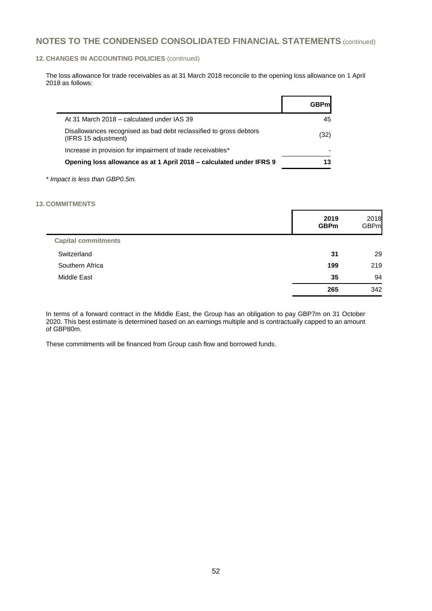#### **12. CHANGES IN ACCOUNTING POLICIES** (continued)

The loss allowance for trade receivables as at 31 March 2018 reconcile to the opening loss allowance on 1 April 2018 as follows:

|                                                                                            | <b>GBPml</b> |
|--------------------------------------------------------------------------------------------|--------------|
| At 31 March 2018 – calculated under IAS 39                                                 | 45           |
| Disallowances recognised as bad debt reclassified to gross debtors<br>(IFRS 15 adjustment) | (32)         |
| Increase in provision for impairment of trade receivables*                                 |              |
| Opening loss allowance as at 1 April 2018 – calculated under IFRS 9                        | 13           |
|                                                                                            |              |

*\* Impact is less than GBP0.5m.*

#### **13. COMMITMENTS**

 $\blacksquare$ 

|                            | 2019<br><b>GBPm</b> | 2018<br><b>GBPm</b> |
|----------------------------|---------------------|---------------------|
| <b>Capital commitments</b> |                     |                     |
| Switzerland                | 31                  | 29                  |
| Southern Africa            | 199                 | 219                 |
| Middle East                | 35                  | 94                  |
|                            | 265                 | 342                 |

In terms of a forward contract in the Middle East, the Group has an obligation to pay GBP7m on 31 October 2020. This best estimate is determined based on an earnings multiple and is contractually capped to an amount of GBP80m.

These commitments will be financed from Group cash flow and borrowed funds.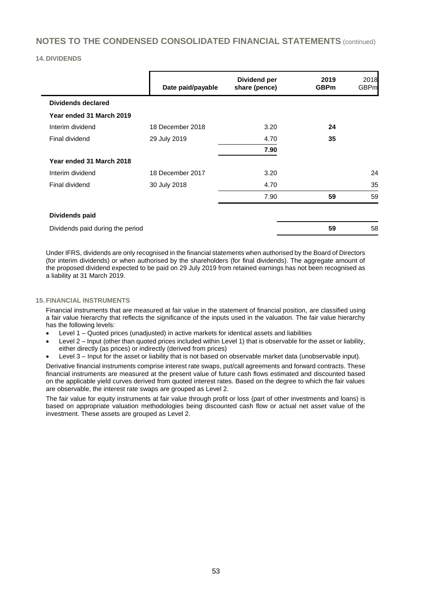#### **14. DIVIDENDS**

|                                  | Date paid/payable | Dividend per<br>share (pence) | 2019<br><b>GBPm</b> | 2018<br><b>GBPm</b> |
|----------------------------------|-------------------|-------------------------------|---------------------|---------------------|
| <b>Dividends declared</b>        |                   |                               |                     |                     |
| Year ended 31 March 2019         |                   |                               |                     |                     |
| Interim dividend                 | 18 December 2018  | 3.20                          | 24                  |                     |
| Final dividend                   | 29 July 2019      | 4.70                          | 35                  |                     |
|                                  |                   | 7.90                          |                     |                     |
| Year ended 31 March 2018         |                   |                               |                     |                     |
| Interim dividend                 | 18 December 2017  | 3.20                          |                     | 24                  |
| Final dividend                   | 30 July 2018      | 4.70                          |                     | 35                  |
|                                  |                   | 7.90                          | 59                  | 59                  |
| <b>Dividends paid</b>            |                   |                               |                     |                     |
| Dividends paid during the period |                   |                               | 59                  | 58                  |

Under IFRS, dividends are only recognised in the financial statements when authorised by the Board of Directors (for interim dividends) or when authorised by the shareholders (for final dividends). The aggregate amount of the proposed dividend expected to be paid on 29 July 2019 from retained earnings has not been recognised as a liability at 31 March 2019.

#### **15. FINANCIAL INSTRUMENTS**

Financial instruments that are measured at fair value in the statement of financial position, are classified using a fair value hierarchy that reflects the significance of the inputs used in the valuation. The fair value hierarchy has the following levels:

- Level 1 Quoted prices (unadjusted) in active markets for identical assets and liabilities
- Level 2 Input (other than quoted prices included within Level 1) that is observable for the asset or liability, either directly (as prices) or indirectly (derived from prices)
- Level 3 Input for the asset or liability that is not based on observable market data (unobservable input).

Derivative financial instruments comprise interest rate swaps, put/call agreements and forward contracts. These financial instruments are measured at the present value of future cash flows estimated and discounted based on the applicable yield curves derived from quoted interest rates. Based on the degree to which the fair values are observable, the interest rate swaps are grouped as Level 2.

The fair value for equity instruments at fair value through profit or loss (part of other investments and loans) is based on appropriate valuation methodologies being discounted cash flow or actual net asset value of the investment. These assets are grouped as Level 2.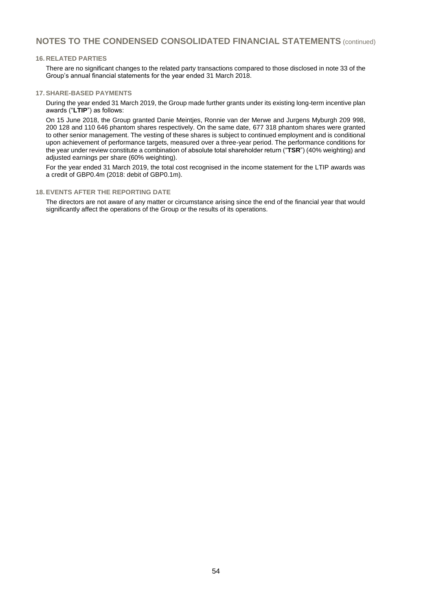#### **16. RELATED PARTIES**

There are no significant changes to the related party transactions compared to those disclosed in note 33 of the Group's annual financial statements for the year ended 31 March 2018.

#### **17. SHARE-BASED PAYMENTS**

During the year ended 31 March 2019, the Group made further grants under its existing long-term incentive plan awards ("**LTIP**") as follows:

On 15 June 2018, the Group granted Danie Meintjes, Ronnie van der Merwe and Jurgens Myburgh 209 998, 200 128 and 110 646 phantom shares respectively. On the same date, 677 318 phantom shares were granted to other senior management. The vesting of these shares is subject to continued employment and is conditional upon achievement of performance targets, measured over a three-year period. The performance conditions for the year under review constitute a combination of absolute total shareholder return ("**TSR**") (40% weighting) and adjusted earnings per share (60% weighting).

For the year ended 31 March 2019, the total cost recognised in the income statement for the LTIP awards was a credit of GBP0.4m (2018: debit of GBP0.1m).

#### **18. EVENTS AFTER THE REPORTING DATE**

The directors are not aware of any matter or circumstance arising since the end of the financial year that would significantly affect the operations of the Group or the results of its operations.